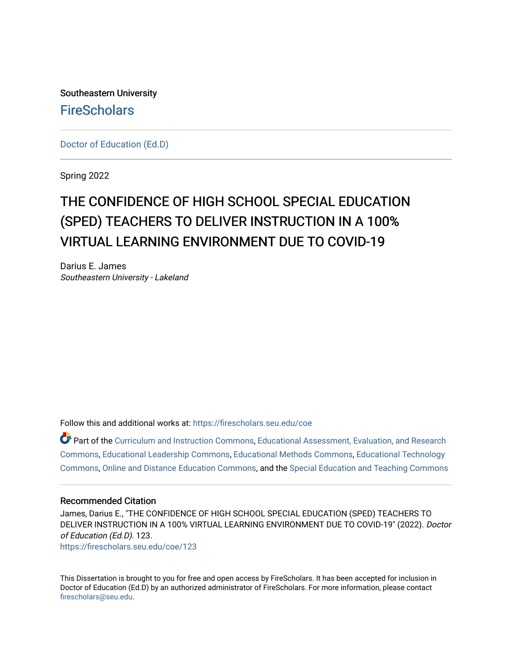Southeastern University **FireScholars** 

[Doctor of Education \(Ed.D\)](https://firescholars.seu.edu/coe) 

Spring 2022

# THE CONFIDENCE OF HIGH SCHOOL SPECIAL EDUCATION (SPED) TEACHERS TO DELIVER INSTRUCTION IN A 100% VIRTUAL LEARNING ENVIRONMENT DUE TO COVID-19

Darius E. James Southeastern University - Lakeland

Follow this and additional works at: [https://firescholars.seu.edu/coe](https://firescholars.seu.edu/coe?utm_source=firescholars.seu.edu%2Fcoe%2F123&utm_medium=PDF&utm_campaign=PDFCoverPages)

Part of the [Curriculum and Instruction Commons,](https://network.bepress.com/hgg/discipline/786?utm_source=firescholars.seu.edu%2Fcoe%2F123&utm_medium=PDF&utm_campaign=PDFCoverPages) Educational Assessment, Evaluation, and Research [Commons](https://network.bepress.com/hgg/discipline/796?utm_source=firescholars.seu.edu%2Fcoe%2F123&utm_medium=PDF&utm_campaign=PDFCoverPages), [Educational Leadership Commons,](https://network.bepress.com/hgg/discipline/1230?utm_source=firescholars.seu.edu%2Fcoe%2F123&utm_medium=PDF&utm_campaign=PDFCoverPages) [Educational Methods Commons,](https://network.bepress.com/hgg/discipline/1227?utm_source=firescholars.seu.edu%2Fcoe%2F123&utm_medium=PDF&utm_campaign=PDFCoverPages) [Educational Technology](https://network.bepress.com/hgg/discipline/1415?utm_source=firescholars.seu.edu%2Fcoe%2F123&utm_medium=PDF&utm_campaign=PDFCoverPages) [Commons](https://network.bepress.com/hgg/discipline/1415?utm_source=firescholars.seu.edu%2Fcoe%2F123&utm_medium=PDF&utm_campaign=PDFCoverPages), [Online and Distance Education Commons](https://network.bepress.com/hgg/discipline/1296?utm_source=firescholars.seu.edu%2Fcoe%2F123&utm_medium=PDF&utm_campaign=PDFCoverPages), and the [Special Education and Teaching Commons](https://network.bepress.com/hgg/discipline/801?utm_source=firescholars.seu.edu%2Fcoe%2F123&utm_medium=PDF&utm_campaign=PDFCoverPages)

#### Recommended Citation

James, Darius E., "THE CONFIDENCE OF HIGH SCHOOL SPECIAL EDUCATION (SPED) TEACHERS TO DELIVER INSTRUCTION IN A 100% VIRTUAL LEARNING ENVIRONMENT DUE TO COVID-19" (2022). Doctor of Education (Ed.D). 123. [https://firescholars.seu.edu/coe/123](https://firescholars.seu.edu/coe/123?utm_source=firescholars.seu.edu%2Fcoe%2F123&utm_medium=PDF&utm_campaign=PDFCoverPages) 

This Dissertation is brought to you for free and open access by FireScholars. It has been accepted for inclusion in Doctor of Education (Ed.D) by an authorized administrator of FireScholars. For more information, please contact [firescholars@seu.edu.](mailto:firescholars@seu.edu)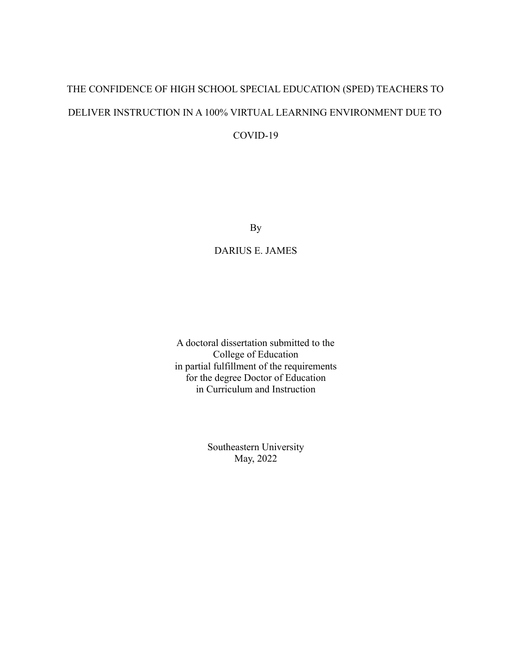# THE CONFIDENCE OF HIGH SCHOOL SPECIAL EDUCATION (SPED) TEACHERS TO DELIVER INSTRUCTION IN A 100% VIRTUAL LEARNING ENVIRONMENT DUE TO COVID-19

By

DARIUS E. JAMES

A doctoral dissertation submitted to the College of Education in partial fulfillment of the requirements for the degree Doctor of Education in Curriculum and Instruction

> Southeastern University May, 2022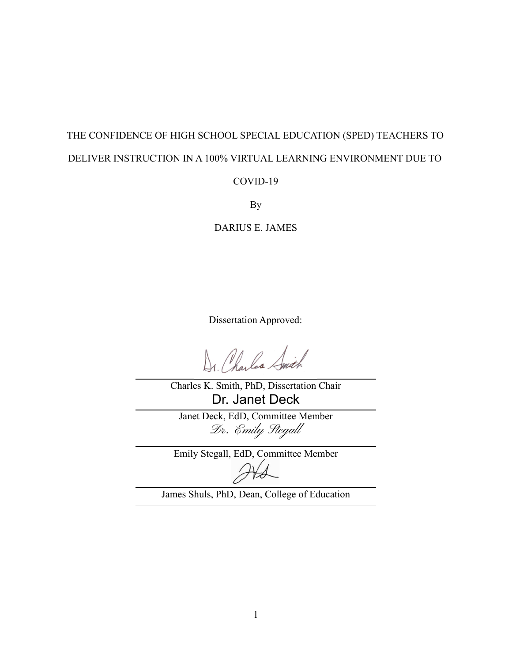# THE CONFIDENCE OF HIGH SCHOOL SPECIAL EDUCATION (SPED) TEACHERS TO DELIVER INSTRUCTION IN A 100% VIRTUAL LEARNING ENVIRONMENT DUE TO

## COVID-19

By

DARIUS E. JAMES

Dissertation Approved:

Dr. Charles Smith

Charles K. Smith, PhD, Dissertation Chair Dr. Janet Deck

Janet Deck, EdD, Committee Member Dr. Emily Stegal

Emily Stegall, EdD, Committee Member

<span id="page-2-0"></span>James Shuls, PhD, Dean, College of Education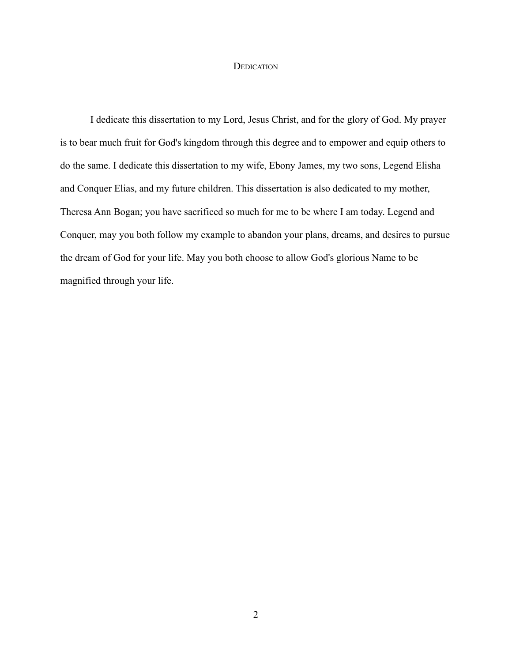#### **DEDICATION**

<span id="page-3-0"></span>I dedicate this dissertation to my Lord, Jesus Christ, and for the glory of God. My prayer is to bear much fruit for God's kingdom through this degree and to empower and equip others to do the same. I dedicate this dissertation to my wife, Ebony James, my two sons, Legend Elisha and Conquer Elias, and my future children. This dissertation is also dedicated to my mother, Theresa Ann Bogan; you have sacrificed so much for me to be where I am today. Legend and Conquer, may you both follow my example to abandon your plans, dreams, and desires to pursue the dream of God for your life. May you both choose to allow God's glorious Name to be magnified through your life.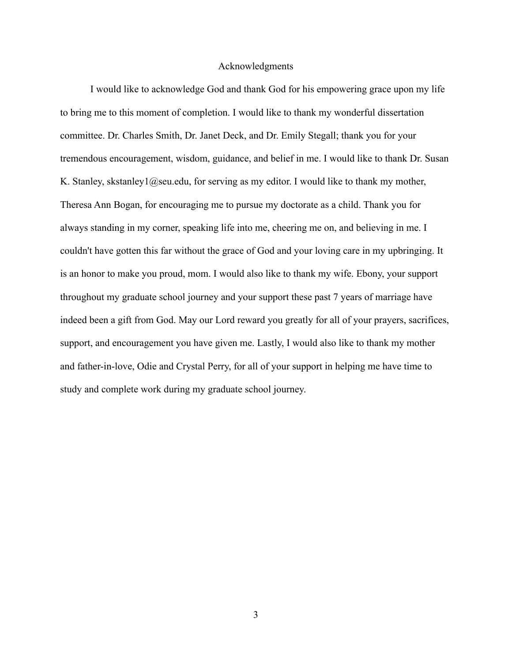#### Acknowledgments

<span id="page-4-0"></span>I would like to acknowledge God and thank God for his empowering grace upon my life to bring me to this moment of completion. I would like to thank my wonderful dissertation committee. Dr. Charles Smith, Dr. Janet Deck, and Dr. Emily Stegall; thank you for your tremendous encouragement, wisdom, guidance, and belief in me. I would like to thank Dr. Susan K. Stanley, skstanley1@seu.edu, for serving as my editor. I would like to thank my mother, Theresa Ann Bogan, for encouraging me to pursue my doctorate as a child. Thank you for always standing in my corner, speaking life into me, cheering me on, and believing in me. I couldn't have gotten this far without the grace of God and your loving care in my upbringing. It is an honor to make you proud, mom. I would also like to thank my wife. Ebony, your support throughout my graduate school journey and your support these past 7 years of marriage have indeed been a gift from God. May our Lord reward you greatly for all of your prayers, sacrifices, support, and encouragement you have given me. Lastly, I would also like to thank my mother and father-in-love, Odie and Crystal Perry, for all of your support in helping me have time to study and complete work during my graduate school journey.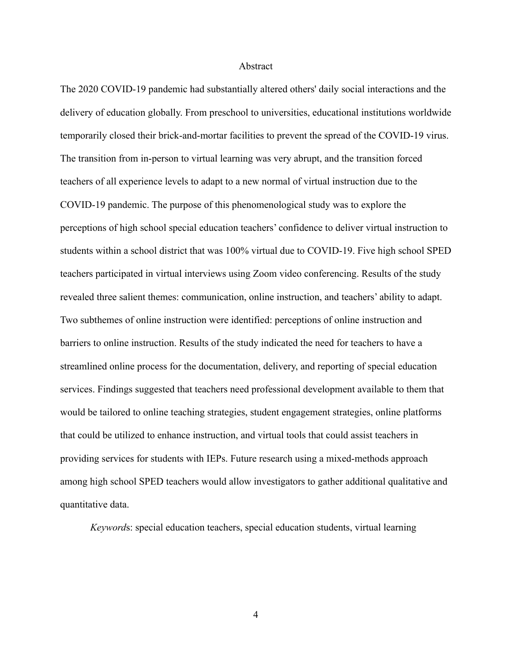#### Abstract

The 2020 COVID-19 pandemic had substantially altered others' daily social interactions and the delivery of education globally. From preschool to universities, educational institutions worldwide temporarily closed their brick-and-mortar facilities to prevent the spread of the COVID-19 virus. The transition from in-person to virtual learning was very abrupt, and the transition forced teachers of all experience levels to adapt to a new normal of virtual instruction due to the COVID-19 pandemic. The purpose of this phenomenological study was to explore the perceptions of high school special education teachers' confidence to deliver virtual instruction to students within a school district that was 100% virtual due to COVID-19. Five high school SPED teachers participated in virtual interviews using Zoom video conferencing. Results of the study revealed three salient themes: communication, online instruction, and teachers' ability to adapt. Two subthemes of online instruction were identified: perceptions of online instruction and barriers to online instruction. Results of the study indicated the need for teachers to have a streamlined online process for the documentation, delivery, and reporting of special education services. Findings suggested that teachers need professional development available to them that would be tailored to online teaching strategies, student engagement strategies, online platforms that could be utilized to enhance instruction, and virtual tools that could assist teachers in providing services for students with IEPs. Future research using a mixed-methods approach among high school SPED teachers would allow investigators to gather additional qualitative and quantitative data.

*Keyword*s: special education teachers, special education students, virtual learning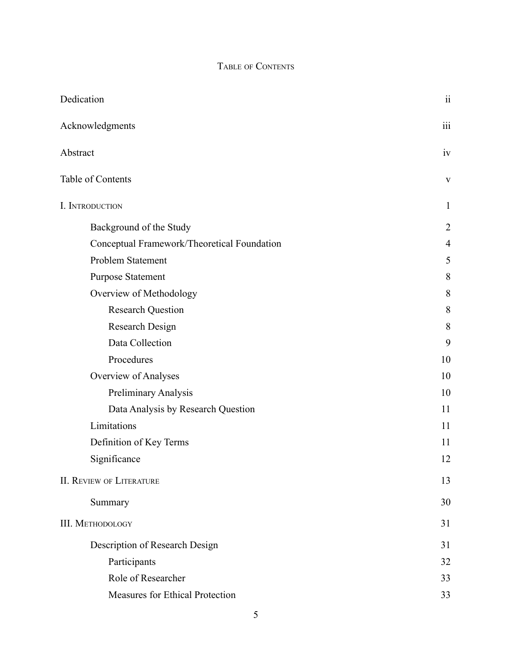# TABLE OF CONTENTS

<span id="page-6-0"></span>

| Dedication                                  | $\overline{\textbf{ii}}$ |
|---------------------------------------------|--------------------------|
| Acknowledgments                             | $\overline{\text{iii}}$  |
| Abstract                                    | iv                       |
| Table of Contents                           | $\mathbf{V}$             |
| I. INTRODUCTION                             | $\mathbf{1}$             |
| Background of the Study                     | $\overline{2}$           |
| Conceptual Framework/Theoretical Foundation | $\overline{4}$           |
| Problem Statement                           | 5                        |
| <b>Purpose Statement</b>                    | 8                        |
| Overview of Methodology                     | 8                        |
| <b>Research Question</b>                    | 8                        |
| Research Design                             | 8                        |
| Data Collection                             | 9                        |
| Procedures                                  | 10                       |
| Overview of Analyses                        | 10                       |
| Preliminary Analysis                        | 10                       |
| Data Analysis by Research Question          | 11                       |
| Limitations                                 | 11                       |
| Definition of Key Terms                     | 11                       |
| Significance                                | 12                       |
| <b>II. REVIEW OF LITERATURE</b>             | 13                       |
| Summary                                     | 30                       |
| <b>III. METHODOLOGY</b>                     | 31                       |
| Description of Research Design              | 31                       |
| Participants                                | 32                       |
| Role of Researcher                          | 33                       |
| Measures for Ethical Protection             | 33                       |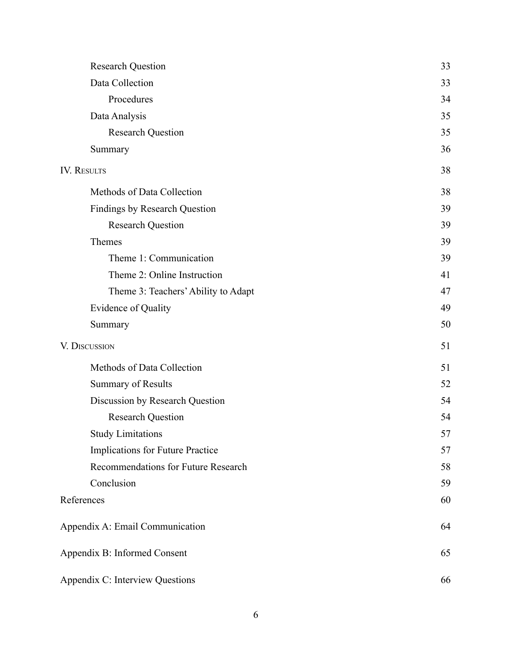| <b>Research Question</b>             | 33 |
|--------------------------------------|----|
| Data Collection                      | 33 |
| Procedures                           | 34 |
| Data Analysis                        | 35 |
| <b>Research Question</b>             | 35 |
| Summary                              | 36 |
| <b>IV. RESULTS</b>                   | 38 |
| Methods of Data Collection           | 38 |
| <b>Findings by Research Question</b> | 39 |
| <b>Research Question</b>             | 39 |
| Themes                               | 39 |
| Theme 1: Communication               | 39 |
| Theme 2: Online Instruction          | 41 |
| Theme 3: Teachers' Ability to Adapt  | 47 |
| Evidence of Quality                  | 49 |
| Summary                              | 50 |
| V. DISCUSSION                        | 51 |
| Methods of Data Collection           | 51 |
| <b>Summary of Results</b>            | 52 |
| Discussion by Research Question      | 54 |
| <b>Research Question</b>             | 54 |
| <b>Study Limitations</b>             | 57 |
| Implications for Future Practice     | 57 |
| Recommendations for Future Research  | 58 |
| Conclusion                           | 59 |
| References                           | 60 |
| Appendix A: Email Communication      | 64 |
| Appendix B: Informed Consent         | 65 |
| Appendix C: Interview Questions      | 66 |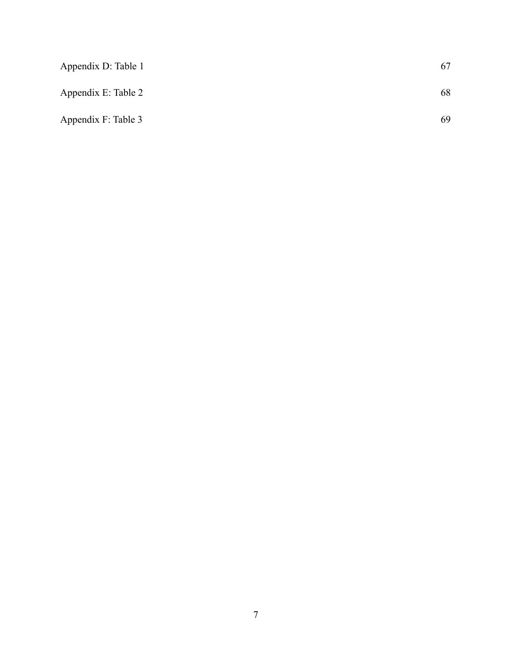| Appendix D: Table 1 | 67 |
|---------------------|----|
| Appendix E: Table 2 | 68 |
| Appendix F: Table 3 | 69 |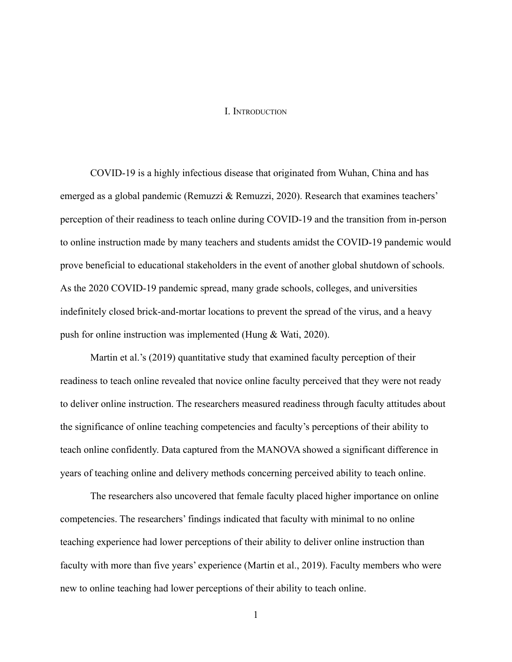#### I. INTRODUCTION

<span id="page-9-0"></span>COVID-19 is a highly infectious disease that originated from Wuhan, China and has emerged as a global pandemic (Remuzzi & Remuzzi, 2020). Research that examines teachers' perception of their readiness to teach online during COVID-19 and the transition from in-person to online instruction made by many teachers and students amidst the COVID-19 pandemic would prove beneficial to educational stakeholders in the event of another global shutdown of schools. As the 2020 COVID-19 pandemic spread, many grade schools, colleges, and universities indefinitely closed brick-and-mortar locations to prevent the spread of the virus, and a heavy push for online instruction was implemented (Hung & Wati, 2020).

Martin et al.'s (2019) quantitative study that examined faculty perception of their readiness to teach online revealed that novice online faculty perceived that they were not ready to deliver online instruction. The researchers measured readiness through faculty attitudes about the significance of online teaching competencies and faculty's perceptions of their ability to teach online confidently. Data captured from the MANOVA showed a significant difference in years of teaching online and delivery methods concerning perceived ability to teach online.

The researchers also uncovered that female faculty placed higher importance on online competencies. The researchers' findings indicated that faculty with minimal to no online teaching experience had lower perceptions of their ability to deliver online instruction than faculty with more than five years' experience (Martin et al., 2019). Faculty members who were new to online teaching had lower perceptions of their ability to teach online.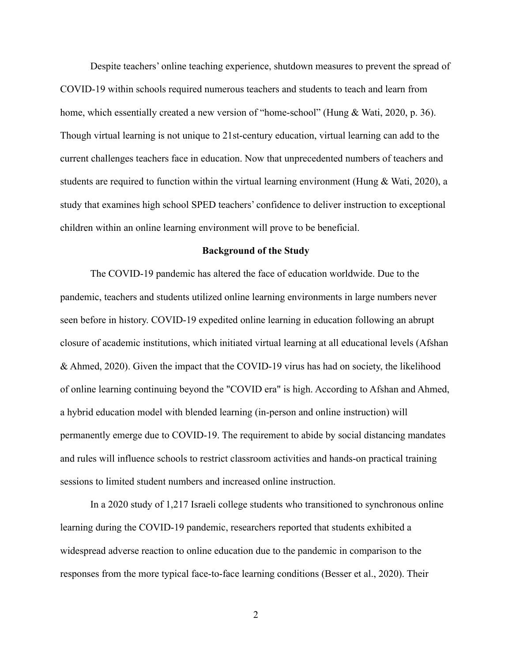Despite teachers' online teaching experience, shutdown measures to prevent the spread of COVID-19 within schools required numerous teachers and students to teach and learn from home, which essentially created a new version of "home-school" (Hung & Wati, 2020, p. 36). Though virtual learning is not unique to 21st-century education, virtual learning can add to the current challenges teachers face in education. Now that unprecedented numbers of teachers and students are required to function within the virtual learning environment (Hung & Wati, 2020), a study that examines high school SPED teachers' confidence to deliver instruction to exceptional children within an online learning environment will prove to be beneficial.

#### **Background of the Study**

<span id="page-10-0"></span>The COVID-19 pandemic has altered the face of education worldwide. Due to the pandemic, teachers and students utilized online learning environments in large numbers never seen before in history. COVID-19 expedited online learning in education following an abrupt closure of academic institutions, which initiated virtual learning at all educational levels (Afshan & Ahmed, 2020). Given the impact that the COVID-19 virus has had on society, the likelihood of online learning continuing beyond the "COVID era" is high. According to Afshan and Ahmed, a hybrid education model with blended learning (in-person and online instruction) will permanently emerge due to COVID-19. The requirement to abide by social distancing mandates and rules will influence schools to restrict classroom activities and hands-on practical training sessions to limited student numbers and increased online instruction.

In a 2020 study of 1,217 Israeli college students who transitioned to synchronous online learning during the COVID-19 pandemic, researchers reported that students exhibited a widespread adverse reaction to online education due to the pandemic in comparison to the responses from the more typical face-to-face learning conditions (Besser et al., 2020). Their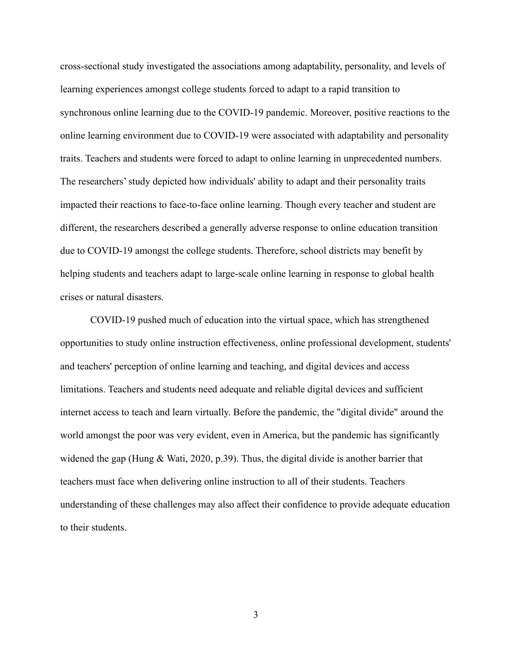cross-sectional study investigated the associations among adaptability, personality, and levels of learning experiences amongst college students forced to adapt to a rapid transition to synchronous online learning due to the COVID-19 pandemic. Moreover, positive reactions to the online learning environment due to COVID-19 were associated with adaptability and personality traits. Teachers and students were forced to adapt to online learning in unprecedented numbers. The researchers' study depicted how individuals' ability to adapt and their personality traits impacted their reactions to face-to-face online learning. Though every teacher and student are different, the researchers described a generally adverse response to online education transition due to COVID-19 amongst the college students. Therefore, school districts may benefit by helping students and teachers adapt to large-scale online learning in response to global health crises or natural disasters.

COVID-19 pushed much of education into the virtual space, which has strengthened opportunities to study online instruction effectiveness, online professional development, students' and teachers' perception of online learning and teaching, and digital devices and access limitations. Teachers and students need adequate and reliable digital devices and sufficient internet access to teach and learn virtually. Before the pandemic, the "digital divide" around the world amongst the poor was very evident, even in America, but the pandemic has significantly widened the gap (Hung & Wati, 2020, p.39). Thus, the digital divide is another barrier that teachers must face when delivering online instruction to all of their students. Teachers understanding of these challenges may also affect their confidence to provide adequate education to their students.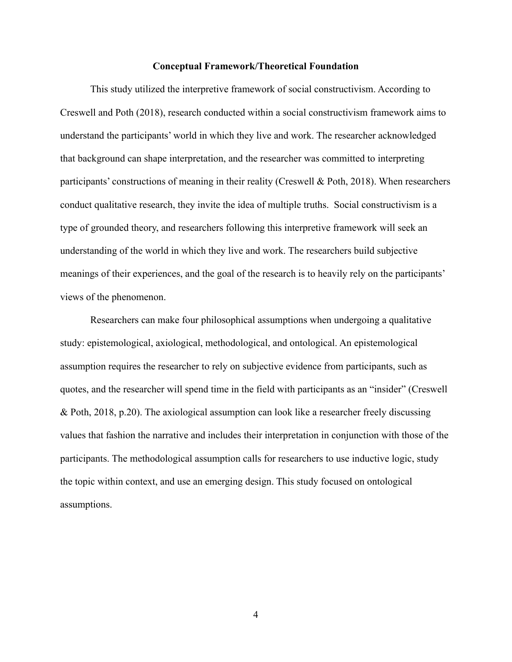#### **Conceptual Framework/Theoretical Foundation**

<span id="page-12-0"></span>This study utilized the interpretive framework of social constructivism. According to Creswell and Poth (2018), research conducted within a social constructivism framework aims to understand the participants' world in which they live and work. The researcher acknowledged that background can shape interpretation, and the researcher was committed to interpreting participants' constructions of meaning in their reality (Creswell  $\&$  Poth, 2018). When researchers conduct qualitative research, they invite the idea of multiple truths. Social constructivism is a type of grounded theory, and researchers following this interpretive framework will seek an understanding of the world in which they live and work. The researchers build subjective meanings of their experiences, and the goal of the research is to heavily rely on the participants' views of the phenomenon.

Researchers can make four philosophical assumptions when undergoing a qualitative study: epistemological, axiological, methodological, and ontological. An epistemological assumption requires the researcher to rely on subjective evidence from participants, such as quotes, and the researcher will spend time in the field with participants as an "insider" (Creswell & Poth, 2018, p.20). The axiological assumption can look like a researcher freely discussing values that fashion the narrative and includes their interpretation in conjunction with those of the participants. The methodological assumption calls for researchers to use inductive logic, study the topic within context, and use an emerging design. This study focused on ontological assumptions.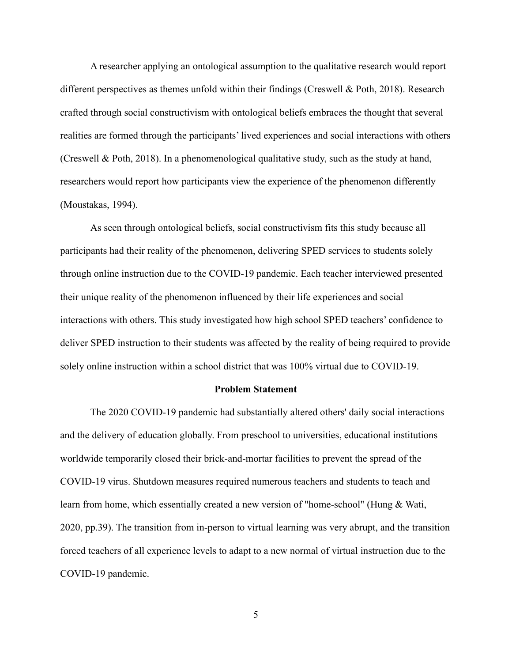A researcher applying an ontological assumption to the qualitative research would report different perspectives as themes unfold within their findings (Creswell & Poth, 2018). Research crafted through social constructivism with ontological beliefs embraces the thought that several realities are formed through the participants' lived experiences and social interactions with others (Creswell & Poth, 2018). In a phenomenological qualitative study, such as the study at hand, researchers would report how participants view the experience of the phenomenon differently (Moustakas, 1994).

As seen through ontological beliefs, social constructivism fits this study because all participants had their reality of the phenomenon, delivering SPED services to students solely through online instruction due to the COVID-19 pandemic. Each teacher interviewed presented their unique reality of the phenomenon influenced by their life experiences and social interactions with others. This study investigated how high school SPED teachers' confidence to deliver SPED instruction to their students was affected by the reality of being required to provide solely online instruction within a school district that was 100% virtual due to COVID-19.

#### **Problem Statement**

<span id="page-13-0"></span>The 2020 COVID-19 pandemic had substantially altered others' daily social interactions and the delivery of education globally. From preschool to universities, educational institutions worldwide temporarily closed their brick-and-mortar facilities to prevent the spread of the COVID-19 virus. Shutdown measures required numerous teachers and students to teach and learn from home, which essentially created a new version of "home-school" (Hung & Wati, 2020, pp.39). The transition from in-person to virtual learning was very abrupt, and the transition forced teachers of all experience levels to adapt to a new normal of virtual instruction due to the COVID-19 pandemic.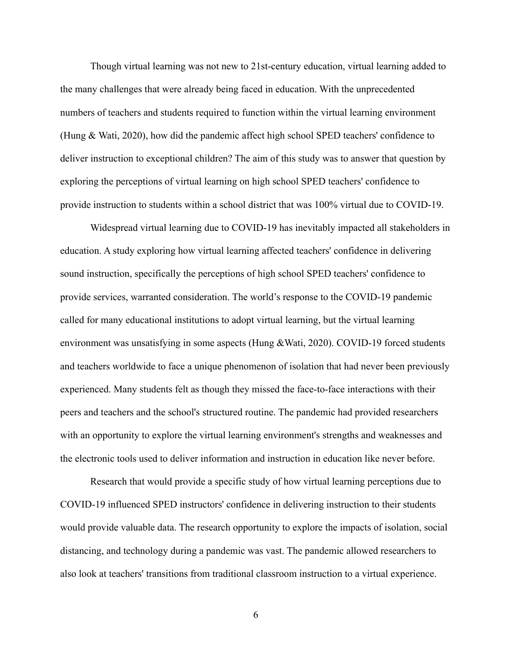Though virtual learning was not new to 21st-century education, virtual learning added to the many challenges that were already being faced in education. With the unprecedented numbers of teachers and students required to function within the virtual learning environment (Hung & Wati, 2020), how did the pandemic affect high school SPED teachers' confidence to deliver instruction to exceptional children? The aim of this study was to answer that question by exploring the perceptions of virtual learning on high school SPED teachers' confidence to provide instruction to students within a school district that was 100% virtual due to COVID-19.

Widespread virtual learning due to COVID-19 has inevitably impacted all stakeholders in education. A study exploring how virtual learning affected teachers' confidence in delivering sound instruction, specifically the perceptions of high school SPED teachers' confidence to provide services, warranted consideration. The world's response to the COVID-19 pandemic called for many educational institutions to adopt virtual learning, but the virtual learning environment was unsatisfying in some aspects (Hung &Wati, 2020). COVID-19 forced students and teachers worldwide to face a unique phenomenon of isolation that had never been previously experienced. Many students felt as though they missed the face-to-face interactions with their peers and teachers and the school's structured routine. The pandemic had provided researchers with an opportunity to explore the virtual learning environment's strengths and weaknesses and the electronic tools used to deliver information and instruction in education like never before.

Research that would provide a specific study of how virtual learning perceptions due to COVID-19 influenced SPED instructors' confidence in delivering instruction to their students would provide valuable data. The research opportunity to explore the impacts of isolation, social distancing, and technology during a pandemic was vast. The pandemic allowed researchers to also look at teachers' transitions from traditional classroom instruction to a virtual experience.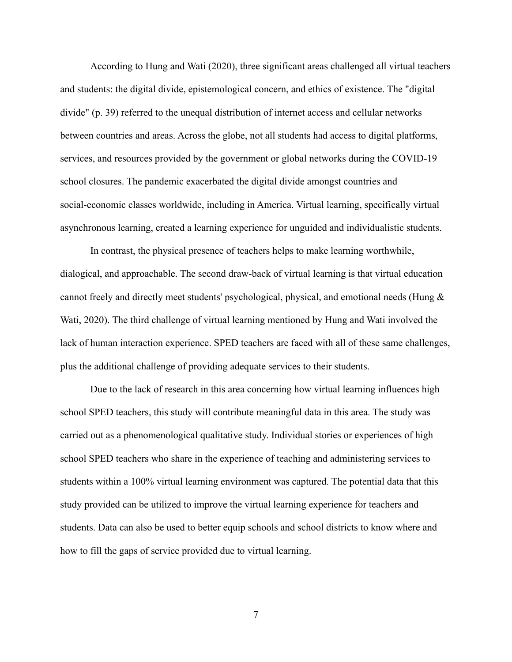According to Hung and Wati (2020), three significant areas challenged all virtual teachers and students: the digital divide, epistemological concern, and ethics of existence. The "digital divide" (p. 39) referred to the unequal distribution of internet access and cellular networks between countries and areas. Across the globe, not all students had access to digital platforms, services, and resources provided by the government or global networks during the COVID-19 school closures. The pandemic exacerbated the digital divide amongst countries and social-economic classes worldwide, including in America. Virtual learning, specifically virtual asynchronous learning, created a learning experience for unguided and individualistic students.

In contrast, the physical presence of teachers helps to make learning worthwhile, dialogical, and approachable. The second draw-back of virtual learning is that virtual education cannot freely and directly meet students' psychological, physical, and emotional needs (Hung & Wati, 2020). The third challenge of virtual learning mentioned by Hung and Wati involved the lack of human interaction experience. SPED teachers are faced with all of these same challenges, plus the additional challenge of providing adequate services to their students.

Due to the lack of research in this area concerning how virtual learning influences high school SPED teachers, this study will contribute meaningful data in this area. The study was carried out as a phenomenological qualitative study. Individual stories or experiences of high school SPED teachers who share in the experience of teaching and administering services to students within a 100% virtual learning environment was captured. The potential data that this study provided can be utilized to improve the virtual learning experience for teachers and students. Data can also be used to better equip schools and school districts to know where and how to fill the gaps of service provided due to virtual learning.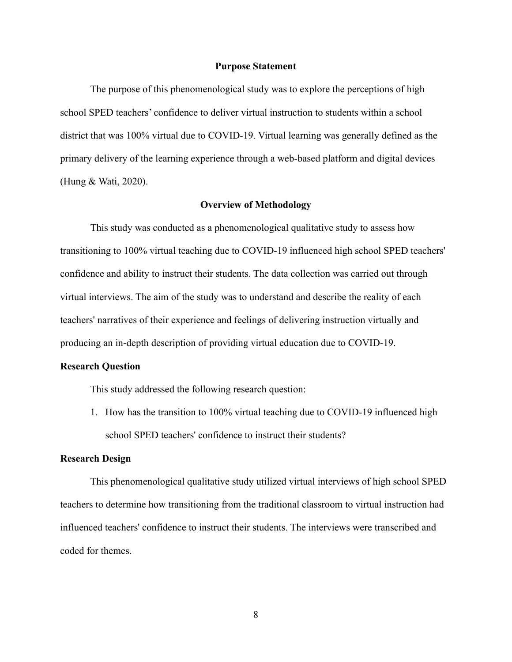#### **Purpose Statement**

<span id="page-16-0"></span>The purpose of this phenomenological study was to explore the perceptions of high school SPED teachers' confidence to deliver virtual instruction to students within a school district that was 100% virtual due to COVID-19. Virtual learning was generally defined as the primary delivery of the learning experience through a web-based platform and digital devices (Hung & Wati, 2020).

#### **Overview of Methodology**

<span id="page-16-1"></span>This study was conducted as a phenomenological qualitative study to assess how transitioning to 100% virtual teaching due to COVID-19 influenced high school SPED teachers' confidence and ability to instruct their students. The data collection was carried out through virtual interviews. The aim of the study was to understand and describe the reality of each teachers' narratives of their experience and feelings of delivering instruction virtually and producing an in-depth description of providing virtual education due to COVID-19.

#### <span id="page-16-2"></span>**Research Question**

This study addressed the following research question:

1. How has the transition to 100% virtual teaching due to COVID-19 influenced high school SPED teachers' confidence to instruct their students?

#### <span id="page-16-3"></span>**Research Design**

This phenomenological qualitative study utilized virtual interviews of high school SPED teachers to determine how transitioning from the traditional classroom to virtual instruction had influenced teachers' confidence to instruct their students. The interviews were transcribed and coded for themes.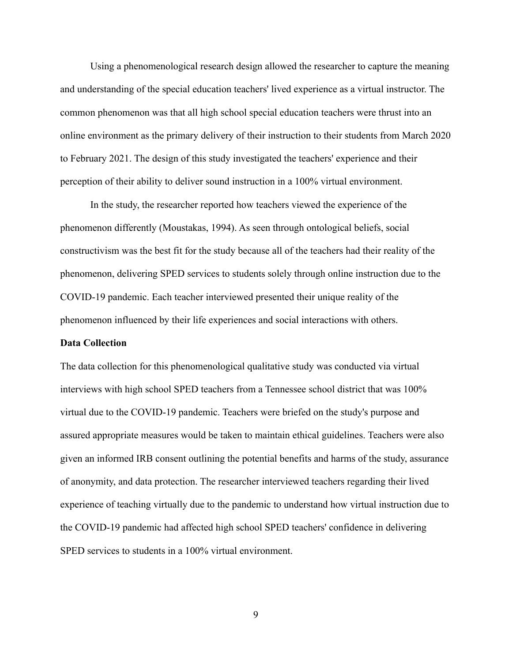Using a phenomenological research design allowed the researcher to capture the meaning and understanding of the special education teachers' lived experience as a virtual instructor. The common phenomenon was that all high school special education teachers were thrust into an online environment as the primary delivery of their instruction to their students from March 2020 to February 2021. The design of this study investigated the teachers' experience and their perception of their ability to deliver sound instruction in a 100% virtual environment.

In the study, the researcher reported how teachers viewed the experience of the phenomenon differently (Moustakas, 1994). As seen through ontological beliefs, social constructivism was the best fit for the study because all of the teachers had their reality of the phenomenon, delivering SPED services to students solely through online instruction due to the COVID-19 pandemic. Each teacher interviewed presented their unique reality of the phenomenon influenced by their life experiences and social interactions with others.

#### <span id="page-17-0"></span>**Data Collection**

The data collection for this phenomenological qualitative study was conducted via virtual interviews with high school SPED teachers from a Tennessee school district that was 100% virtual due to the COVID-19 pandemic. Teachers were briefed on the study's purpose and assured appropriate measures would be taken to maintain ethical guidelines. Teachers were also given an informed IRB consent outlining the potential benefits and harms of the study, assurance of anonymity, and data protection. The researcher interviewed teachers regarding their lived experience of teaching virtually due to the pandemic to understand how virtual instruction due to the COVID-19 pandemic had affected high school SPED teachers' confidence in delivering SPED services to students in a 100% virtual environment.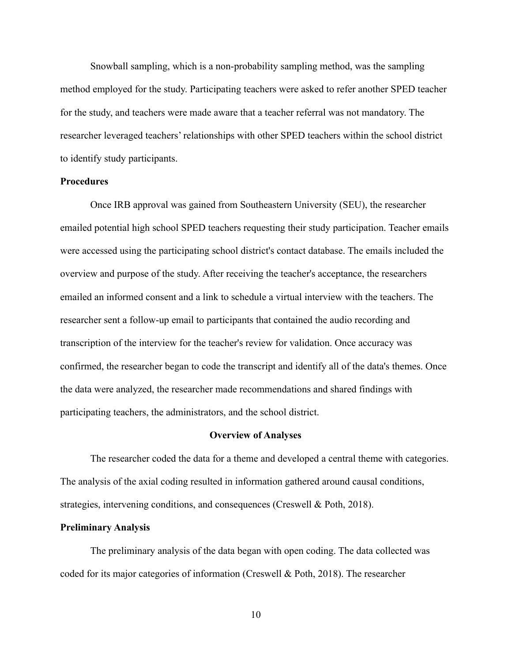Snowball sampling, which is a non-probability sampling method, was the sampling method employed for the study. Participating teachers were asked to refer another SPED teacher for the study, and teachers were made aware that a teacher referral was not mandatory. The researcher leveraged teachers' relationships with other SPED teachers within the school district to identify study participants.

## <span id="page-18-0"></span>**Procedures**

Once IRB approval was gained from Southeastern University (SEU), the researcher emailed potential high school SPED teachers requesting their study participation. Teacher emails were accessed using the participating school district's contact database. The emails included the overview and purpose of the study. After receiving the teacher's acceptance, the researchers emailed an informed consent and a link to schedule a virtual interview with the teachers. The researcher sent a follow-up email to participants that contained the audio recording and transcription of the interview for the teacher's review for validation. Once accuracy was confirmed, the researcher began to code the transcript and identify all of the data's themes. Once the data were analyzed, the researcher made recommendations and shared findings with participating teachers, the administrators, and the school district.

#### **Overview of Analyses**

<span id="page-18-1"></span>The researcher coded the data for a theme and developed a central theme with categories. The analysis of the axial coding resulted in information gathered around causal conditions, strategies, intervening conditions, and consequences (Creswell & Poth, 2018).

#### <span id="page-18-2"></span>**Preliminary Analysis**

The preliminary analysis of the data began with open coding. The data collected was coded for its major categories of information (Creswell & Poth, 2018). The researcher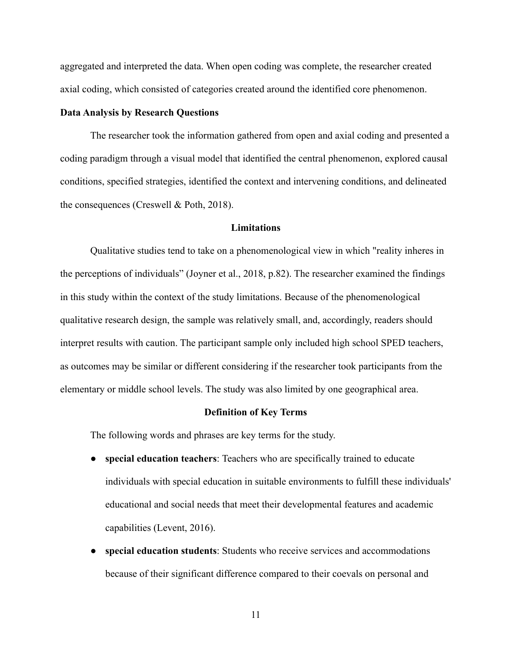aggregated and interpreted the data. When open coding was complete, the researcher created axial coding, which consisted of categories created around the identified core phenomenon.

#### <span id="page-19-0"></span>**Data Analysis by Research Questions**

The researcher took the information gathered from open and axial coding and presented a coding paradigm through a visual model that identified the central phenomenon, explored causal conditions, specified strategies, identified the context and intervening conditions, and delineated the consequences (Creswell & Poth, 2018).

#### **Limitations**

<span id="page-19-1"></span>Qualitative studies tend to take on a phenomenological view in which "reality inheres in the perceptions of individuals" (Joyner et al., 2018, p.82). The researcher examined the findings in this study within the context of the study limitations. Because of the phenomenological qualitative research design, the sample was relatively small, and, accordingly, readers should interpret results with caution. The participant sample only included high school SPED teachers, as outcomes may be similar or different considering if the researcher took participants from the elementary or middle school levels. The study was also limited by one geographical area.

#### **Definition of Key Terms**

<span id="page-19-2"></span>The following words and phrases are key terms for the study.

- **special education teachers**: Teachers who are specifically trained to educate individuals with special education in suitable environments to fulfill these individuals' educational and social needs that meet their developmental features and academic capabilities (Levent, 2016).
- special education students: Students who receive services and accommodations because of their significant difference compared to their coevals on personal and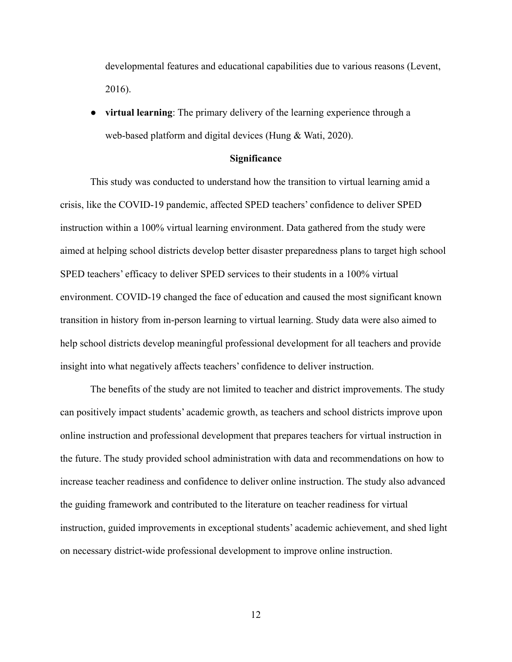developmental features and educational capabilities due to various reasons (Levent, 2016).

**virtual learning**: The primary delivery of the learning experience through a web-based platform and digital devices (Hung & Wati, 2020).

#### **Significance**

<span id="page-20-0"></span>This study was conducted to understand how the transition to virtual learning amid a crisis, like the COVID-19 pandemic, affected SPED teachers' confidence to deliver SPED instruction within a 100% virtual learning environment. Data gathered from the study were aimed at helping school districts develop better disaster preparedness plans to target high school SPED teachers' efficacy to deliver SPED services to their students in a 100% virtual environment. COVID-19 changed the face of education and caused the most significant known transition in history from in-person learning to virtual learning. Study data were also aimed to help school districts develop meaningful professional development for all teachers and provide insight into what negatively affects teachers' confidence to deliver instruction.

The benefits of the study are not limited to teacher and district improvements. The study can positively impact students' academic growth, as teachers and school districts improve upon online instruction and professional development that prepares teachers for virtual instruction in the future. The study provided school administration with data and recommendations on how to increase teacher readiness and confidence to deliver online instruction. The study also advanced the guiding framework and contributed to the literature on teacher readiness for virtual instruction, guided improvements in exceptional students' academic achievement, and shed light on necessary district-wide professional development to improve online instruction.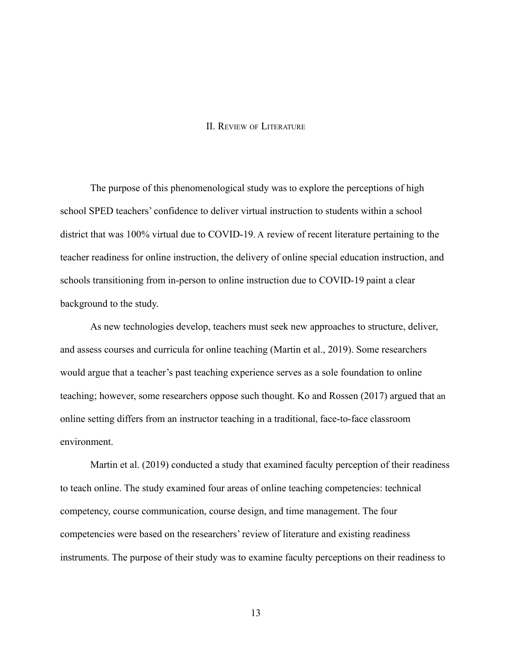#### II. REVIEW OF LITERATURE

<span id="page-21-0"></span>The purpose of this phenomenological study was to explore the perceptions of high school SPED teachers' confidence to deliver virtual instruction to students within a school district that was 100% virtual due to COVID-19. A review of recent literature pertaining to the teacher readiness for online instruction, the delivery of online special education instruction, and schools transitioning from in-person to online instruction due to COVID-19 paint a clear background to the study.

As new technologies develop, teachers must seek new approaches to structure, deliver, and assess courses and curricula for online teaching (Martin et al., 2019). Some researchers would argue that a teacher's past teaching experience serves as a sole foundation to online teaching; however, some researchers oppose such thought. Ko and Rossen (2017) argued that an online setting differs from an instructor teaching in a traditional, face-to-face classroom environment.

Martin et al. (2019) conducted a study that examined faculty perception of their readiness to teach online. The study examined four areas of online teaching competencies: technical competency, course communication, course design, and time management. The four competencies were based on the researchers' review of literature and existing readiness instruments. The purpose of their study was to examine faculty perceptions on their readiness to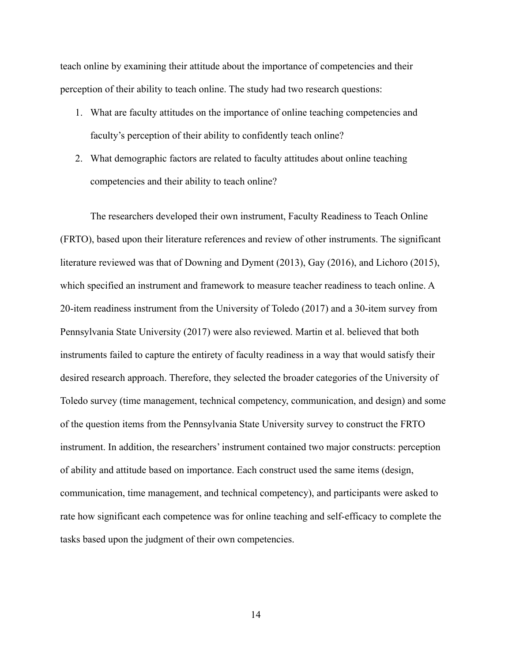teach online by examining their attitude about the importance of competencies and their perception of their ability to teach online. The study had two research questions:

- 1. What are faculty attitudes on the importance of online teaching competencies and faculty's perception of their ability to confidently teach online?
- 2. What demographic factors are related to faculty attitudes about online teaching competencies and their ability to teach online?

The researchers developed their own instrument, Faculty Readiness to Teach Online (FRTO), based upon their literature references and review of other instruments. The significant literature reviewed was that of Downing and Dyment (2013), Gay (2016), and Lichoro (2015), which specified an instrument and framework to measure teacher readiness to teach online. A 20-item readiness instrument from the University of Toledo (2017) and a 30-item survey from Pennsylvania State University (2017) were also reviewed. Martin et al. believed that both instruments failed to capture the entirety of faculty readiness in a way that would satisfy their desired research approach. Therefore, they selected the broader categories of the University of Toledo survey (time management, technical competency, communication, and design) and some of the question items from the Pennsylvania State University survey to construct the FRTO instrument. In addition, the researchers' instrument contained two major constructs: perception of ability and attitude based on importance. Each construct used the same items (design, communication, time management, and technical competency), and participants were asked to rate how significant each competence was for online teaching and self-efficacy to complete the tasks based upon the judgment of their own competencies.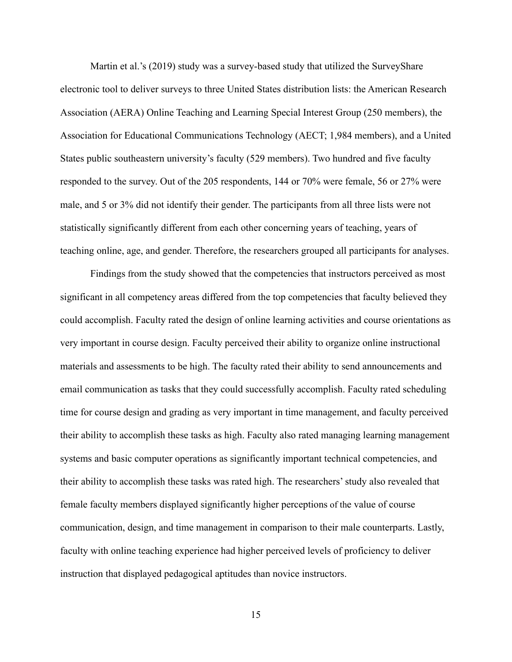Martin et al.'s (2019) study was a survey-based study that utilized the SurveyShare electronic tool to deliver surveys to three United States distribution lists: the American Research Association (AERA) Online Teaching and Learning Special Interest Group (250 members), the Association for Educational Communications Technology (AECT; 1,984 members), and a United States public southeastern university's faculty (529 members). Two hundred and five faculty responded to the survey. Out of the 205 respondents, 144 or 70% were female, 56 or 27% were male, and 5 or 3% did not identify their gender. The participants from all three lists were not statistically significantly different from each other concerning years of teaching, years of teaching online, age, and gender. Therefore, the researchers grouped all participants for analyses.

Findings from the study showed that the competencies that instructors perceived as most significant in all competency areas differed from the top competencies that faculty believed they could accomplish. Faculty rated the design of online learning activities and course orientations as very important in course design. Faculty perceived their ability to organize online instructional materials and assessments to be high. The faculty rated their ability to send announcements and email communication as tasks that they could successfully accomplish. Faculty rated scheduling time for course design and grading as very important in time management, and faculty perceived their ability to accomplish these tasks as high. Faculty also rated managing learning management systems and basic computer operations as significantly important technical competencies, and their ability to accomplish these tasks was rated high. The researchers' study also revealed that female faculty members displayed significantly higher perceptions of the value of course communication, design, and time management in comparison to their male counterparts. Lastly, faculty with online teaching experience had higher perceived levels of proficiency to deliver instruction that displayed pedagogical aptitudes than novice instructors.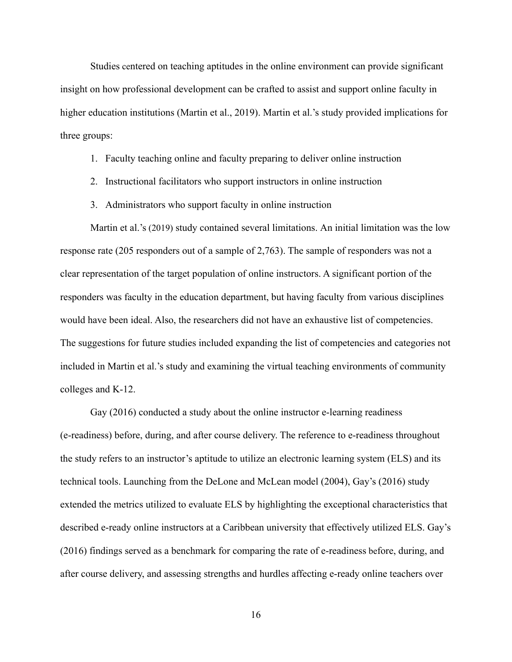Studies centered on teaching aptitudes in the online environment can provide significant insight on how professional development can be crafted to assist and support online faculty in higher education institutions (Martin et al., 2019). Martin et al.'s study provided implications for three groups:

#### 1. Faculty teaching online and faculty preparing to deliver online instruction

- 2. Instructional facilitators who support instructors in online instruction
- 3. Administrators who support faculty in online instruction

Martin et al.'s (2019) study contained several limitations. An initial limitation was the low response rate (205 responders out of a sample of 2,763). The sample of responders was not a clear representation of the target population of online instructors. A significant portion of the responders was faculty in the education department, but having faculty from various disciplines would have been ideal. Also, the researchers did not have an exhaustive list of competencies. The suggestions for future studies included expanding the list of competencies and categories not included in Martin et al.'s study and examining the virtual teaching environments of community colleges and K-12.

Gay (2016) conducted a study about the online instructor e-learning readiness (e-readiness) before, during, and after course delivery. The reference to e-readiness throughout the study refers to an instructor's aptitude to utilize an electronic learning system (ELS) and its technical tools. Launching from the DeLone and McLean model (2004), Gay's (2016) study extended the metrics utilized to evaluate ELS by highlighting the exceptional characteristics that described e-ready online instructors at a Caribbean university that effectively utilized ELS. Gay's (2016) findings served as a benchmark for comparing the rate of e-readiness before, during, and after course delivery, and assessing strengths and hurdles affecting e-ready online teachers over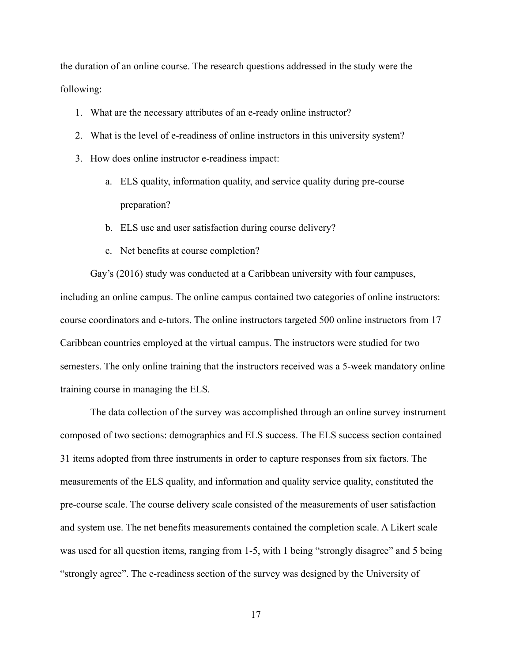the duration of an online course. The research questions addressed in the study were the following:

- 1. What are the necessary attributes of an e-ready online instructor?
- 2. What is the level of e-readiness of online instructors in this university system?
- 3. How does online instructor e-readiness impact:
	- a. ELS quality, information quality, and service quality during pre-course preparation?
	- b. ELS use and user satisfaction during course delivery?
	- c. Net benefits at course completion?

Gay's (2016) study was conducted at a Caribbean university with four campuses, including an online campus. The online campus contained two categories of online instructors: course coordinators and e-tutors. The online instructors targeted 500 online instructors from 17 Caribbean countries employed at the virtual campus. The instructors were studied for two semesters. The only online training that the instructors received was a 5-week mandatory online training course in managing the ELS.

The data collection of the survey was accomplished through an online survey instrument composed of two sections: demographics and ELS success. The ELS success section contained 31 items adopted from three instruments in order to capture responses from six factors. The measurements of the ELS quality, and information and quality service quality, constituted the pre-course scale. The course delivery scale consisted of the measurements of user satisfaction and system use. The net benefits measurements contained the completion scale. A Likert scale was used for all question items, ranging from 1-5, with 1 being "strongly disagree" and 5 being "strongly agree". The e-readiness section of the survey was designed by the University of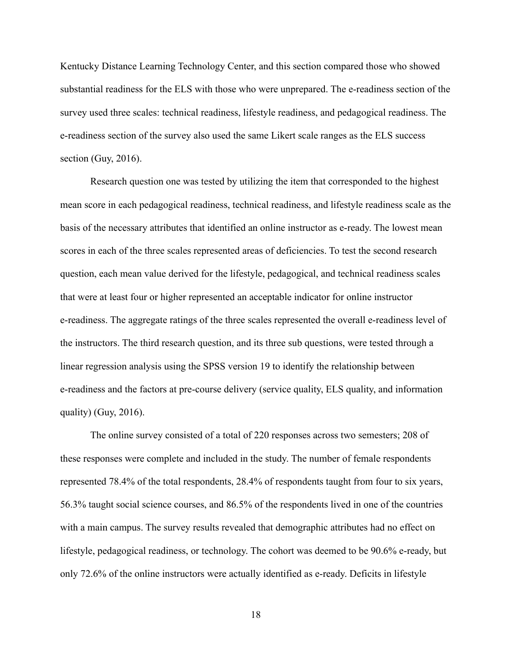Kentucky Distance Learning Technology Center, and this section compared those who showed substantial readiness for the ELS with those who were unprepared. The e-readiness section of the survey used three scales: technical readiness, lifestyle readiness, and pedagogical readiness. The e-readiness section of the survey also used the same Likert scale ranges as the ELS success section (Guy, 2016).

Research question one was tested by utilizing the item that corresponded to the highest mean score in each pedagogical readiness, technical readiness, and lifestyle readiness scale as the basis of the necessary attributes that identified an online instructor as e-ready. The lowest mean scores in each of the three scales represented areas of deficiencies. To test the second research question, each mean value derived for the lifestyle, pedagogical, and technical readiness scales that were at least four or higher represented an acceptable indicator for online instructor e-readiness. The aggregate ratings of the three scales represented the overall e-readiness level of the instructors. The third research question, and its three sub questions, were tested through a linear regression analysis using the SPSS version 19 to identify the relationship between e-readiness and the factors at pre-course delivery (service quality, ELS quality, and information quality) (Guy,  $2016$ ).

The online survey consisted of a total of 220 responses across two semesters; 208 of these responses were complete and included in the study. The number of female respondents represented 78.4% of the total respondents, 28.4% of respondents taught from four to six years, 56.3% taught social science courses, and 86.5% of the respondents lived in one of the countries with a main campus. The survey results revealed that demographic attributes had no effect on lifestyle, pedagogical readiness, or technology. The cohort was deemed to be 90.6% e-ready, but only 72.6% of the online instructors were actually identified as e-ready. Deficits in lifestyle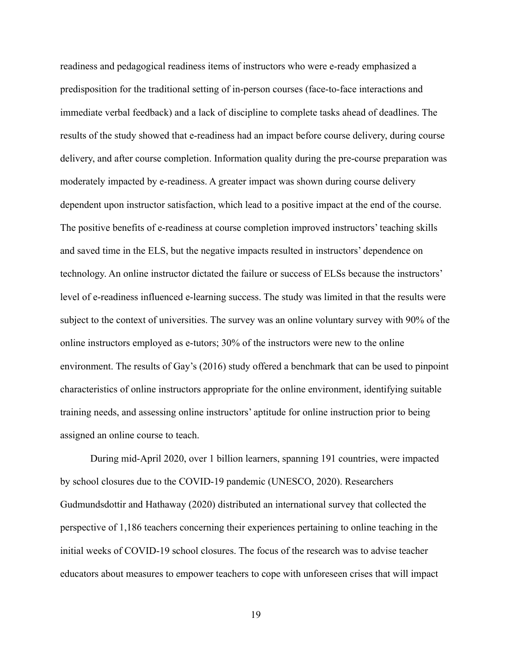readiness and pedagogical readiness items of instructors who were e-ready emphasized a predisposition for the traditional setting of in-person courses (face-to-face interactions and immediate verbal feedback) and a lack of discipline to complete tasks ahead of deadlines. The results of the study showed that e-readiness had an impact before course delivery, during course delivery, and after course completion. Information quality during the pre-course preparation was moderately impacted by e-readiness. A greater impact was shown during course delivery dependent upon instructor satisfaction, which lead to a positive impact at the end of the course. The positive benefits of e-readiness at course completion improved instructors' teaching skills and saved time in the ELS, but the negative impacts resulted in instructors' dependence on technology. An online instructor dictated the failure or success of ELSs because the instructors' level of e-readiness influenced e-learning success. The study was limited in that the results were subject to the context of universities. The survey was an online voluntary survey with 90% of the online instructors employed as e-tutors; 30% of the instructors were new to the online environment. The results of Gay's (2016) study offered a benchmark that can be used to pinpoint characteristics of online instructors appropriate for the online environment, identifying suitable training needs, and assessing online instructors' aptitude for online instruction prior to being assigned an online course to teach.

During mid-April 2020, over 1 billion learners, spanning 191 countries, were impacted by school closures due to the COVID-19 pandemic (UNESCO, 2020). Researchers Gudmundsdottir and Hathaway (2020) distributed an international survey that collected the perspective of 1,186 teachers concerning their experiences pertaining to online teaching in the initial weeks of COVID-19 school closures. The focus of the research was to advise teacher educators about measures to empower teachers to cope with unforeseen crises that will impact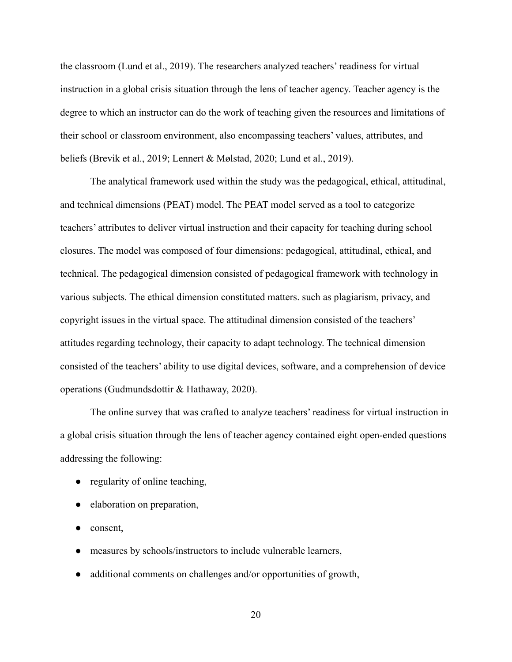the classroom (Lund et al., 2019). The researchers analyzed teachers' readiness for virtual instruction in a global crisis situation through the lens of teacher agency. Teacher agency is the degree to which an instructor can do the work of teaching given the resources and limitations of their school or classroom environment, also encompassing teachers' values, attributes, and beliefs (Brevik et al., 2019; Lennert & Mølstad, 2020; Lund et al., 2019).

The analytical framework used within the study was the pedagogical, ethical, attitudinal, and technical dimensions (PEAT) model. The PEAT model served as a tool to categorize teachers' attributes to deliver virtual instruction and their capacity for teaching during school closures. The model was composed of four dimensions: pedagogical, attitudinal, ethical, and technical. The pedagogical dimension consisted of pedagogical framework with technology in various subjects. The ethical dimension constituted matters. such as plagiarism, privacy, and copyright issues in the virtual space. The attitudinal dimension consisted of the teachers' attitudes regarding technology, their capacity to adapt technology. The technical dimension consisted of the teachers' ability to use digital devices, software, and a comprehension of device operations (Gudmundsdottir & Hathaway, 2020).

The online survey that was crafted to analyze teachers' readiness for virtual instruction in a global crisis situation through the lens of teacher agency contained eight open-ended questions addressing the following:

- regularity of online teaching,
- elaboration on preparation,
- consent,
- measures by schools/instructors to include vulnerable learners,
- additional comments on challenges and/or opportunities of growth,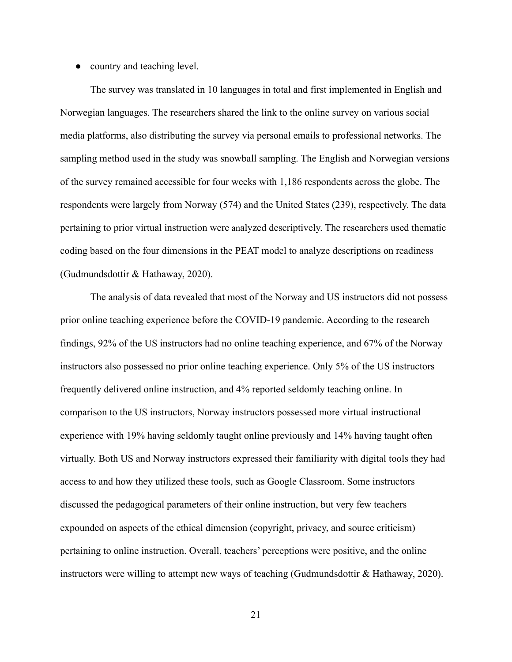## ● country and teaching level.

The survey was translated in 10 languages in total and first implemented in English and Norwegian languages. The researchers shared the link to the online survey on various social media platforms, also distributing the survey via personal emails to professional networks. The sampling method used in the study was snowball sampling. The English and Norwegian versions of the survey remained accessible for four weeks with 1,186 respondents across the globe. The respondents were largely from Norway (574) and the United States (239), respectively. The data pertaining to prior virtual instruction were analyzed descriptively. The researchers used thematic coding based on the four dimensions in the PEAT model to analyze descriptions on readiness (Gudmundsdottir & Hathaway, 2020).

The analysis of data revealed that most of the Norway and US instructors did not possess prior online teaching experience before the COVID-19 pandemic. According to the research findings, 92% of the US instructors had no online teaching experience, and 67% of the Norway instructors also possessed no prior online teaching experience. Only 5% of the US instructors frequently delivered online instruction, and 4% reported seldomly teaching online. In comparison to the US instructors, Norway instructors possessed more virtual instructional experience with 19% having seldomly taught online previously and 14% having taught often virtually. Both US and Norway instructors expressed their familiarity with digital tools they had access to and how they utilized these tools, such as Google Classroom. Some instructors discussed the pedagogical parameters of their online instruction, but very few teachers expounded on aspects of the ethical dimension (copyright, privacy, and source criticism) pertaining to online instruction. Overall, teachers' perceptions were positive, and the online instructors were willing to attempt new ways of teaching (Gudmundsdottir & Hathaway, 2020).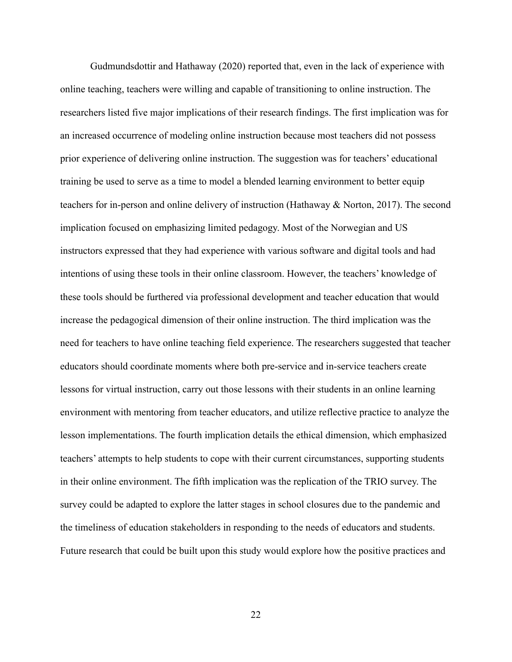Gudmundsdottir and Hathaway (2020) reported that, even in the lack of experience with online teaching, teachers were willing and capable of transitioning to online instruction. The researchers listed five major implications of their research findings. The first implication was for an increased occurrence of modeling online instruction because most teachers did not possess prior experience of delivering online instruction. The suggestion was for teachers' educational training be used to serve as a time to model a blended learning environment to better equip teachers for in-person and online delivery of instruction (Hathaway & Norton, 2017). The second implication focused on emphasizing limited pedagogy. Most of the Norwegian and US instructors expressed that they had experience with various software and digital tools and had intentions of using these tools in their online classroom. However, the teachers' knowledge of these tools should be furthered via professional development and teacher education that would increase the pedagogical dimension of their online instruction. The third implication was the need for teachers to have online teaching field experience. The researchers suggested that teacher educators should coordinate moments where both pre-service and in-service teachers create lessons for virtual instruction, carry out those lessons with their students in an online learning environment with mentoring from teacher educators, and utilize reflective practice to analyze the lesson implementations. The fourth implication details the ethical dimension, which emphasized teachers' attempts to help students to cope with their current circumstances, supporting students in their online environment. The fifth implication was the replication of the TRIO survey. The survey could be adapted to explore the latter stages in school closures due to the pandemic and the timeliness of education stakeholders in responding to the needs of educators and students. Future research that could be built upon this study would explore how the positive practices and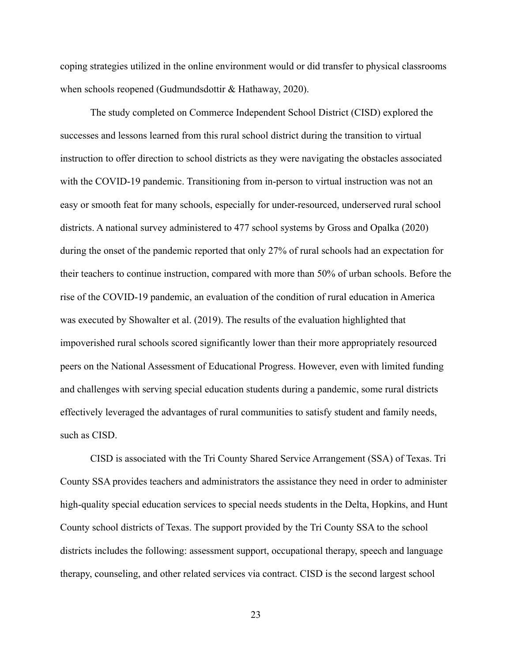coping strategies utilized in the online environment would or did transfer to physical classrooms when schools reopened (Gudmundsdottir & Hathaway, 2020).

The study completed on Commerce Independent School District (CISD) explored the successes and lessons learned from this rural school district during the transition to virtual instruction to offer direction to school districts as they were navigating the obstacles associated with the COVID-19 pandemic. Transitioning from in-person to virtual instruction was not an easy or smooth feat for many schools, especially for under-resourced, underserved rural school districts. A national survey administered to 477 school systems by Gross and Opalka (2020) during the onset of the pandemic reported that only 27% of rural schools had an expectation for their teachers to continue instruction, compared with more than 50% of urban schools. Before the rise of the COVID-19 pandemic, an evaluation of the condition of rural education in America was executed by Showalter et al. (2019). The results of the evaluation highlighted that impoverished rural schools scored significantly lower than their more appropriately resourced peers on the National Assessment of Educational Progress. However, even with limited funding and challenges with serving special education students during a pandemic, some rural districts effectively leveraged the advantages of rural communities to satisfy student and family needs, such as CISD.

CISD is associated with the Tri County Shared Service Arrangement (SSA) of Texas. Tri County SSA provides teachers and administrators the assistance they need in order to administer high-quality special education services to special needs students in the Delta, Hopkins, and Hunt County school districts of Texas. The support provided by the Tri County SSA to the school districts includes the following: assessment support, occupational therapy, speech and language therapy, counseling, and other related services via contract. CISD is the second largest school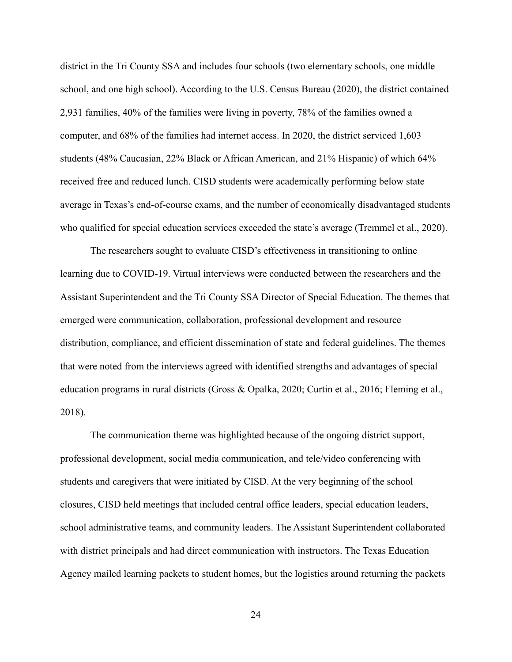district in the Tri County SSA and includes four schools (two elementary schools, one middle school, and one high school). According to the U.S. Census Bureau (2020), the district contained 2,931 families, 40% of the families were living in poverty, 78% of the families owned a computer, and 68% of the families had internet access. In 2020, the district serviced 1,603 students (48% Caucasian, 22% Black or African American, and 21% Hispanic) of which 64% received free and reduced lunch. CISD students were academically performing below state average in Texas's end-of-course exams, and the number of economically disadvantaged students who qualified for special education services exceeded the state's average (Tremmel et al., 2020).

The researchers sought to evaluate CISD's effectiveness in transitioning to online learning due to COVID-19. Virtual interviews were conducted between the researchers and the Assistant Superintendent and the Tri County SSA Director of Special Education. The themes that emerged were communication, collaboration, professional development and resource distribution, compliance, and efficient dissemination of state and federal guidelines. The themes that were noted from the interviews agreed with identified strengths and advantages of special education programs in rural districts (Gross & Opalka, 2020; Curtin et al., 2016; Fleming et al., 2018).

The communication theme was highlighted because of the ongoing district support, professional development, social media communication, and tele/video conferencing with students and caregivers that were initiated by CISD. At the very beginning of the school closures, CISD held meetings that included central office leaders, special education leaders, school administrative teams, and community leaders. The Assistant Superintendent collaborated with district principals and had direct communication with instructors. The Texas Education Agency mailed learning packets to student homes, but the logistics around returning the packets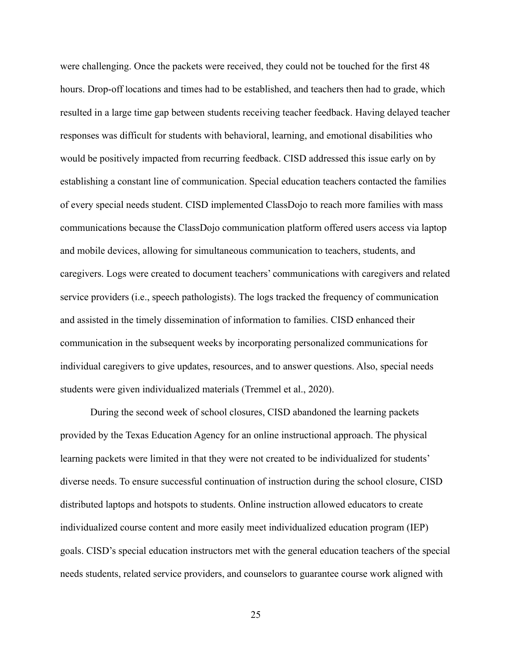were challenging. Once the packets were received, they could not be touched for the first 48 hours. Drop-off locations and times had to be established, and teachers then had to grade, which resulted in a large time gap between students receiving teacher feedback. Having delayed teacher responses was difficult for students with behavioral, learning, and emotional disabilities who would be positively impacted from recurring feedback. CISD addressed this issue early on by establishing a constant line of communication. Special education teachers contacted the families of every special needs student. CISD implemented ClassDojo to reach more families with mass communications because the ClassDojo communication platform offered users access via laptop and mobile devices, allowing for simultaneous communication to teachers, students, and caregivers. Logs were created to document teachers' communications with caregivers and related service providers (i.e., speech pathologists). The logs tracked the frequency of communication and assisted in the timely dissemination of information to families. CISD enhanced their communication in the subsequent weeks by incorporating personalized communications for individual caregivers to give updates, resources, and to answer questions. Also, special needs students were given individualized materials (Tremmel et al., 2020).

During the second week of school closures, CISD abandoned the learning packets provided by the Texas Education Agency for an online instructional approach. The physical learning packets were limited in that they were not created to be individualized for students' diverse needs. To ensure successful continuation of instruction during the school closure, CISD distributed laptops and hotspots to students. Online instruction allowed educators to create individualized course content and more easily meet individualized education program (IEP) goals. CISD's special education instructors met with the general education teachers of the special needs students, related service providers, and counselors to guarantee course work aligned with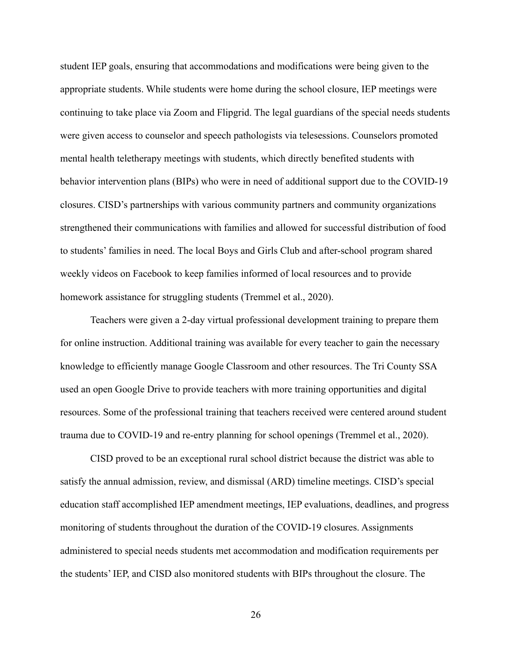student IEP goals, ensuring that accommodations and modifications were being given to the appropriate students. While students were home during the school closure, IEP meetings were continuing to take place via Zoom and Flipgrid. The legal guardians of the special needs students were given access to counselor and speech pathologists via telesessions. Counselors promoted mental health teletherapy meetings with students, which directly benefited students with behavior intervention plans (BIPs) who were in need of additional support due to the COVID-19 closures. CISD's partnerships with various community partners and community organizations strengthened their communications with families and allowed for successful distribution of food to students' families in need. The local Boys and Girls Club and after-school program shared weekly videos on Facebook to keep families informed of local resources and to provide homework assistance for struggling students (Tremmel et al., 2020).

Teachers were given a 2-day virtual professional development training to prepare them for online instruction. Additional training was available for every teacher to gain the necessary knowledge to efficiently manage Google Classroom and other resources. The Tri County SSA used an open Google Drive to provide teachers with more training opportunities and digital resources. Some of the professional training that teachers received were centered around student trauma due to COVID-19 and re-entry planning for school openings (Tremmel et al., 2020).

CISD proved to be an exceptional rural school district because the district was able to satisfy the annual admission, review, and dismissal (ARD) timeline meetings. CISD's special education staff accomplished IEP amendment meetings, IEP evaluations, deadlines, and progress monitoring of students throughout the duration of the COVID-19 closures. Assignments administered to special needs students met accommodation and modification requirements per the students' IEP, and CISD also monitored students with BIPs throughout the closure. The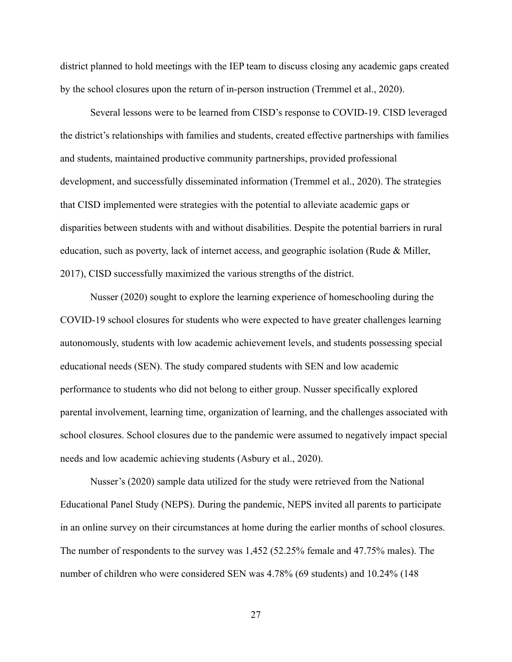district planned to hold meetings with the IEP team to discuss closing any academic gaps created by the school closures upon the return of in-person instruction (Tremmel et al., 2020).

Several lessons were to be learned from CISD's response to COVID-19. CISD leveraged the district's relationships with families and students, created effective partnerships with families and students, maintained productive community partnerships, provided professional development, and successfully disseminated information (Tremmel et al., 2020). The strategies that CISD implemented were strategies with the potential to alleviate academic gaps or disparities between students with and without disabilities. Despite the potential barriers in rural education, such as poverty, lack of internet access, and geographic isolation (Rude & Miller, 2017), CISD successfully maximized the various strengths of the district.

Nusser (2020) sought to explore the learning experience of homeschooling during the COVID-19 school closures for students who were expected to have greater challenges learning autonomously, students with low academic achievement levels, and students possessing special educational needs (SEN). The study compared students with SEN and low academic performance to students who did not belong to either group. Nusser specifically explored parental involvement, learning time, organization of learning, and the challenges associated with school closures. School closures due to the pandemic were assumed to negatively impact special needs and low academic achieving students (Asbury et al., 2020).

Nusser's (2020) sample data utilized for the study were retrieved from the National Educational Panel Study (NEPS). During the pandemic, NEPS invited all parents to participate in an online survey on their circumstances at home during the earlier months of school closures. The number of respondents to the survey was 1,452 (52.25% female and 47.75% males). The number of children who were considered SEN was 4.78% (69 students) and 10.24% (148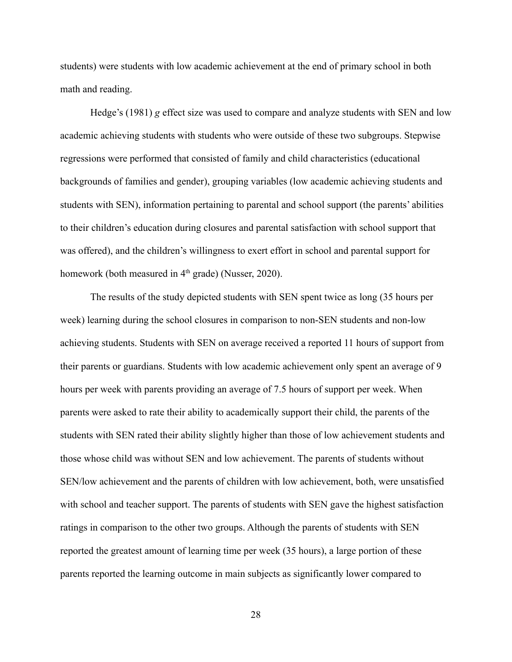students) were students with low academic achievement at the end of primary school in both math and reading.

Hedge's (1981) *g* effect size was used to compare and analyze students with SEN and low academic achieving students with students who were outside of these two subgroups. Stepwise regressions were performed that consisted of family and child characteristics (educational backgrounds of families and gender), grouping variables (low academic achieving students and students with SEN), information pertaining to parental and school support (the parents' abilities to their children's education during closures and parental satisfaction with school support that was offered), and the children's willingness to exert effort in school and parental support for homework (both measured in  $4<sup>th</sup>$  grade) (Nusser, 2020).

The results of the study depicted students with SEN spent twice as long (35 hours per week) learning during the school closures in comparison to non-SEN students and non-low achieving students. Students with SEN on average received a reported 11 hours of support from their parents or guardians. Students with low academic achievement only spent an average of 9 hours per week with parents providing an average of 7.5 hours of support per week. When parents were asked to rate their ability to academically support their child, the parents of the students with SEN rated their ability slightly higher than those of low achievement students and those whose child was without SEN and low achievement. The parents of students without SEN/low achievement and the parents of children with low achievement, both, were unsatisfied with school and teacher support. The parents of students with SEN gave the highest satisfaction ratings in comparison to the other two groups. Although the parents of students with SEN reported the greatest amount of learning time per week (35 hours), a large portion of these parents reported the learning outcome in main subjects as significantly lower compared to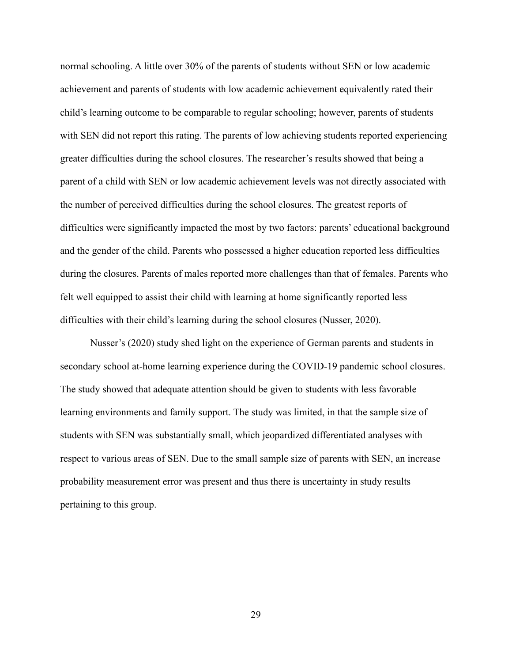normal schooling. A little over 30% of the parents of students without SEN or low academic achievement and parents of students with low academic achievement equivalently rated their child's learning outcome to be comparable to regular schooling; however, parents of students with SEN did not report this rating. The parents of low achieving students reported experiencing greater difficulties during the school closures. The researcher's results showed that being a parent of a child with SEN or low academic achievement levels was not directly associated with the number of perceived difficulties during the school closures. The greatest reports of difficulties were significantly impacted the most by two factors: parents' educational background and the gender of the child. Parents who possessed a higher education reported less difficulties during the closures. Parents of males reported more challenges than that of females. Parents who felt well equipped to assist their child with learning at home significantly reported less difficulties with their child's learning during the school closures (Nusser, 2020).

Nusser's (2020) study shed light on the experience of German parents and students in secondary school at-home learning experience during the COVID-19 pandemic school closures. The study showed that adequate attention should be given to students with less favorable learning environments and family support. The study was limited, in that the sample size of students with SEN was substantially small, which jeopardized differentiated analyses with respect to various areas of SEN. Due to the small sample size of parents with SEN, an increase probability measurement error was present and thus there is uncertainty in study results pertaining to this group.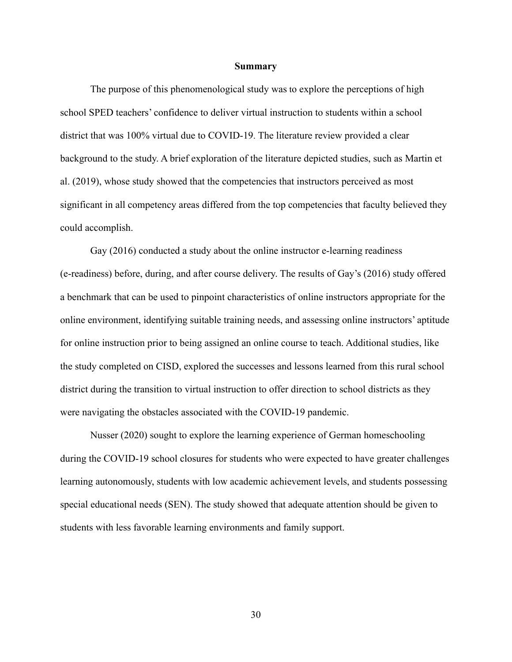#### **Summary**

The purpose of this phenomenological study was to explore the perceptions of high school SPED teachers' confidence to deliver virtual instruction to students within a school district that was 100% virtual due to COVID-19. The literature review provided a clear background to the study. A brief exploration of the literature depicted studies, such as Martin et al. (2019), whose study showed that the competencies that instructors perceived as most significant in all competency areas differed from the top competencies that faculty believed they could accomplish.

Gay (2016) conducted a study about the online instructor e-learning readiness (e-readiness) before, during, and after course delivery. The results of Gay's (2016) study offered a benchmark that can be used to pinpoint characteristics of online instructors appropriate for the online environment, identifying suitable training needs, and assessing online instructors' aptitude for online instruction prior to being assigned an online course to teach. Additional studies, like the study completed on CISD, explored the successes and lessons learned from this rural school district during the transition to virtual instruction to offer direction to school districts as they were navigating the obstacles associated with the COVID-19 pandemic.

Nusser (2020) sought to explore the learning experience of German homeschooling during the COVID-19 school closures for students who were expected to have greater challenges learning autonomously, students with low academic achievement levels, and students possessing special educational needs (SEN). The study showed that adequate attention should be given to students with less favorable learning environments and family support.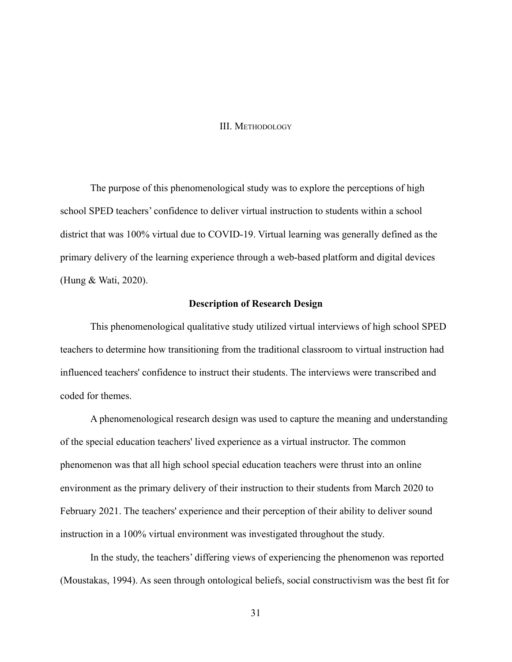### III. METHODOLOGY

The purpose of this phenomenological study was to explore the perceptions of high school SPED teachers' confidence to deliver virtual instruction to students within a school district that was 100% virtual due to COVID-19. Virtual learning was generally defined as the primary delivery of the learning experience through a web-based platform and digital devices (Hung & Wati, 2020).

# **Description of Research Design**

This phenomenological qualitative study utilized virtual interviews of high school SPED teachers to determine how transitioning from the traditional classroom to virtual instruction had influenced teachers' confidence to instruct their students. The interviews were transcribed and coded for themes.

A phenomenological research design was used to capture the meaning and understanding of the special education teachers' lived experience as a virtual instructor. The common phenomenon was that all high school special education teachers were thrust into an online environment as the primary delivery of their instruction to their students from March 2020 to February 2021. The teachers' experience and their perception of their ability to deliver sound instruction in a 100% virtual environment was investigated throughout the study.

In the study, the teachers' differing views of experiencing the phenomenon was reported (Moustakas, 1994). As seen through ontological beliefs, social constructivism was the best fit for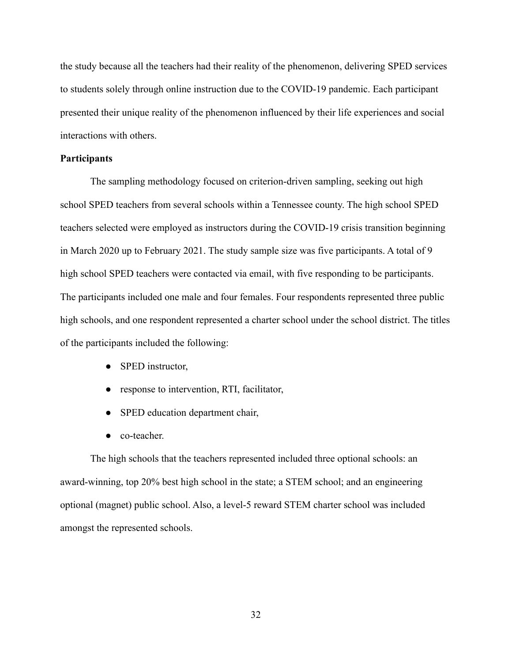the study because all the teachers had their reality of the phenomenon, delivering SPED services to students solely through online instruction due to the COVID-19 pandemic. Each participant presented their unique reality of the phenomenon influenced by their life experiences and social interactions with others.

# **Participants**

The sampling methodology focused on criterion-driven sampling, seeking out high school SPED teachers from several schools within a Tennessee county. The high school SPED teachers selected were employed as instructors during the COVID-19 crisis transition beginning in March 2020 up to February 2021. The study sample size was five participants. A total of 9 high school SPED teachers were contacted via email, with five responding to be participants. The participants included one male and four females. Four respondents represented three public high schools, and one respondent represented a charter school under the school district. The titles of the participants included the following:

- SPED instructor,
- response to intervention, RTI, facilitator,
- SPED education department chair,
- co-teacher.

The high schools that the teachers represented included three optional schools: an award-winning, top 20% best high school in the state; a STEM school; and an engineering optional (magnet) public school. Also, a level-5 reward STEM charter school was included amongst the represented schools.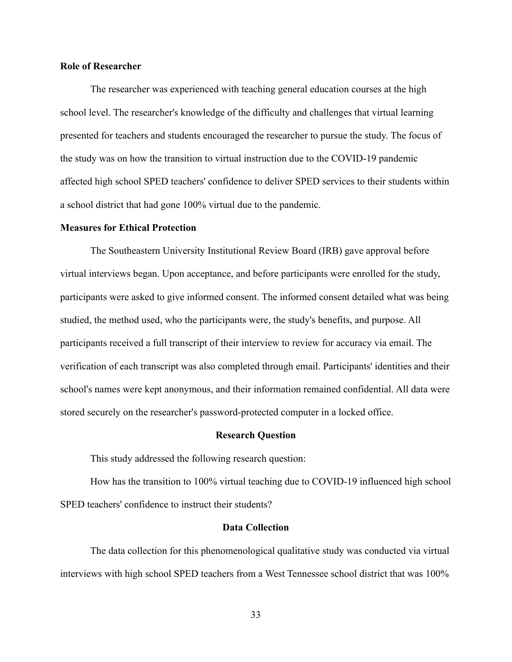# **Role of Researcher**

The researcher was experienced with teaching general education courses at the high school level. The researcher's knowledge of the difficulty and challenges that virtual learning presented for teachers and students encouraged the researcher to pursue the study. The focus of the study was on how the transition to virtual instruction due to the COVID-19 pandemic affected high school SPED teachers' confidence to deliver SPED services to their students within a school district that had gone 100% virtual due to the pandemic.

#### **Measures for Ethical Protection**

The Southeastern University Institutional Review Board (IRB) gave approval before virtual interviews began. Upon acceptance, and before participants were enrolled for the study, participants were asked to give informed consent. The informed consent detailed what was being studied, the method used, who the participants were, the study's benefits, and purpose. All participants received a full transcript of their interview to review for accuracy via email. The verification of each transcript was also completed through email. Participants' identities and their school's names were kept anonymous, and their information remained confidential. All data were stored securely on the researcher's password-protected computer in a locked office.

### **Research Question**

This study addressed the following research question:

How has the transition to 100% virtual teaching due to COVID-19 influenced high school SPED teachers' confidence to instruct their students?

# **Data Collection**

The data collection for this phenomenological qualitative study was conducted via virtual interviews with high school SPED teachers from a West Tennessee school district that was 100%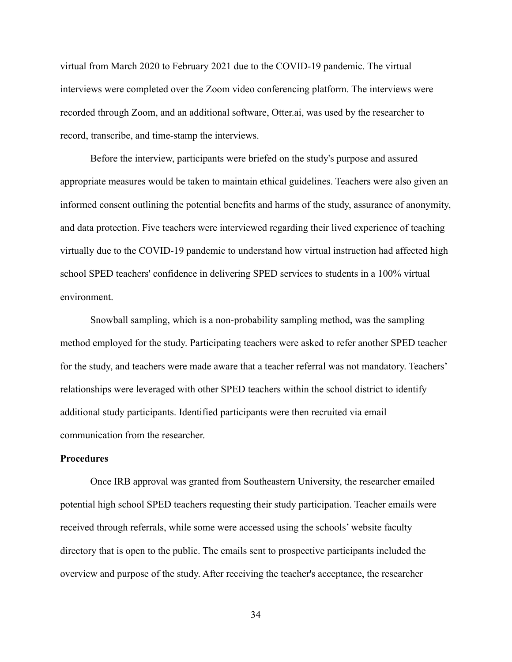virtual from March 2020 to February 2021 due to the COVID-19 pandemic. The virtual interviews were completed over the Zoom video conferencing platform. The interviews were recorded through Zoom, and an additional software, Otter.ai, was used by the researcher to record, transcribe, and time-stamp the interviews.

Before the interview, participants were briefed on the study's purpose and assured appropriate measures would be taken to maintain ethical guidelines. Teachers were also given an informed consent outlining the potential benefits and harms of the study, assurance of anonymity, and data protection. Five teachers were interviewed regarding their lived experience of teaching virtually due to the COVID-19 pandemic to understand how virtual instruction had affected high school SPED teachers' confidence in delivering SPED services to students in a 100% virtual environment.

Snowball sampling, which is a non-probability sampling method, was the sampling method employed for the study. Participating teachers were asked to refer another SPED teacher for the study, and teachers were made aware that a teacher referral was not mandatory. Teachers' relationships were leveraged with other SPED teachers within the school district to identify additional study participants. Identified participants were then recruited via email communication from the researcher.

# **Procedures**

Once IRB approval was granted from Southeastern University, the researcher emailed potential high school SPED teachers requesting their study participation. Teacher emails were received through referrals, while some were accessed using the schools' website faculty directory that is open to the public. The emails sent to prospective participants included the overview and purpose of the study. After receiving the teacher's acceptance, the researcher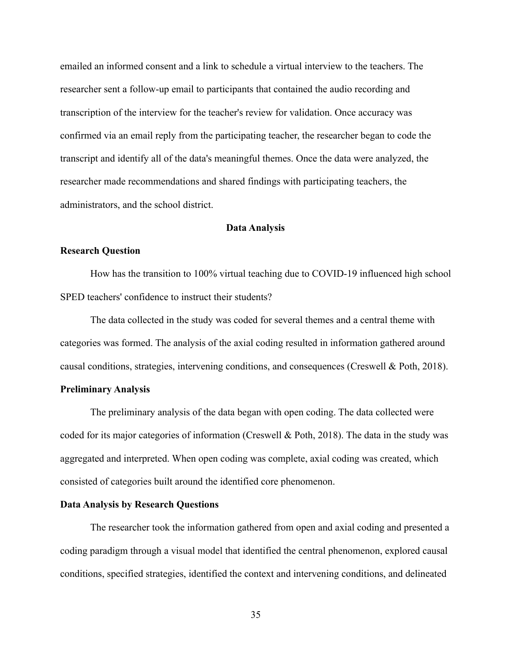emailed an informed consent and a link to schedule a virtual interview to the teachers. The researcher sent a follow-up email to participants that contained the audio recording and transcription of the interview for the teacher's review for validation. Once accuracy was confirmed via an email reply from the participating teacher, the researcher began to code the transcript and identify all of the data's meaningful themes. Once the data were analyzed, the researcher made recommendations and shared findings with participating teachers, the administrators, and the school district.

#### **Data Analysis**

# **Research Question**

How has the transition to 100% virtual teaching due to COVID-19 influenced high school SPED teachers' confidence to instruct their students?

The data collected in the study was coded for several themes and a central theme with categories was formed. The analysis of the axial coding resulted in information gathered around causal conditions, strategies, intervening conditions, and consequences (Creswell & Poth, 2018).

# **Preliminary Analysis**

The preliminary analysis of the data began with open coding. The data collected were coded for its major categories of information (Creswell & Poth, 2018). The data in the study was aggregated and interpreted. When open coding was complete, axial coding was created, which consisted of categories built around the identified core phenomenon.

# **Data Analysis by Research Questions**

The researcher took the information gathered from open and axial coding and presented a coding paradigm through a visual model that identified the central phenomenon, explored causal conditions, specified strategies, identified the context and intervening conditions, and delineated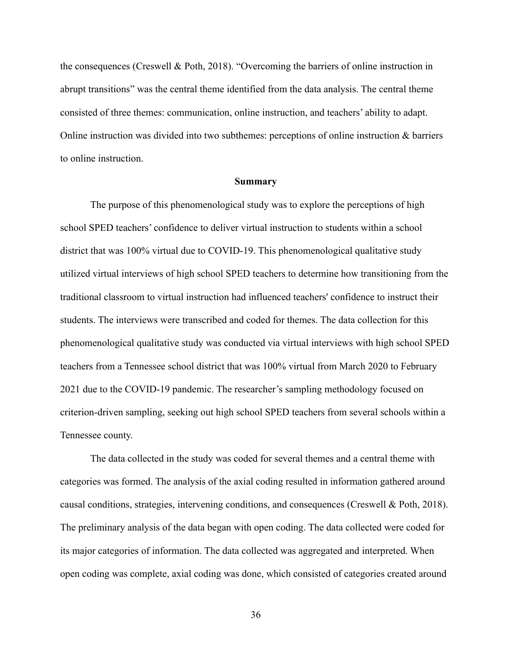the consequences (Creswell & Poth, 2018). "Overcoming the barriers of online instruction in abrupt transitions" was the central theme identified from the data analysis. The central theme consisted of three themes: communication, online instruction, and teachers' ability to adapt. Online instruction was divided into two subthemes: perceptions of online instruction & barriers to online instruction.

### **Summary**

The purpose of this phenomenological study was to explore the perceptions of high school SPED teachers' confidence to deliver virtual instruction to students within a school district that was 100% virtual due to COVID-19. This phenomenological qualitative study utilized virtual interviews of high school SPED teachers to determine how transitioning from the traditional classroom to virtual instruction had influenced teachers' confidence to instruct their students. The interviews were transcribed and coded for themes. The data collection for this phenomenological qualitative study was conducted via virtual interviews with high school SPED teachers from a Tennessee school district that was 100% virtual from March 2020 to February 2021 due to the COVID-19 pandemic. The researcher's sampling methodology focused on criterion-driven sampling, seeking out high school SPED teachers from several schools within a Tennessee county.

The data collected in the study was coded for several themes and a central theme with categories was formed. The analysis of the axial coding resulted in information gathered around causal conditions, strategies, intervening conditions, and consequences (Creswell & Poth, 2018). The preliminary analysis of the data began with open coding. The data collected were coded for its major categories of information. The data collected was aggregated and interpreted. When open coding was complete, axial coding was done, which consisted of categories created around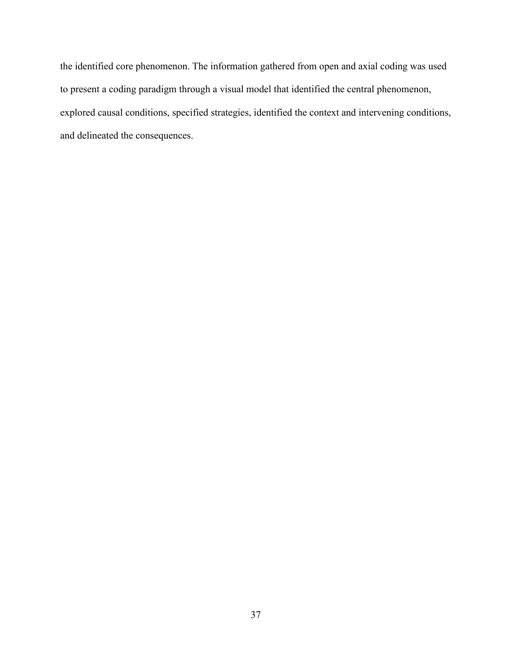the identified core phenomenon. The information gathered from open and axial coding was used to present a coding paradigm through a visual model that identified the central phenomenon, explored causal conditions, specified strategies, identified the context and intervening conditions, and delineated the consequences.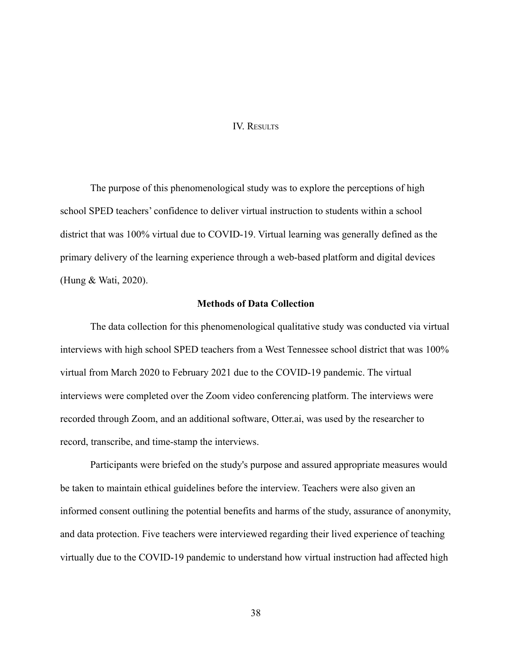## IV. RESULTS

The purpose of this phenomenological study was to explore the perceptions of high school SPED teachers' confidence to deliver virtual instruction to students within a school district that was 100% virtual due to COVID-19. Virtual learning was generally defined as the primary delivery of the learning experience through a web-based platform and digital devices (Hung & Wati, 2020).

# **Methods of Data Collection**

The data collection for this phenomenological qualitative study was conducted via virtual interviews with high school SPED teachers from a West Tennessee school district that was 100% virtual from March 2020 to February 2021 due to the COVID-19 pandemic. The virtual interviews were completed over the Zoom video conferencing platform. The interviews were recorded through Zoom, and an additional software, Otter.ai, was used by the researcher to record, transcribe, and time-stamp the interviews.

Participants were briefed on the study's purpose and assured appropriate measures would be taken to maintain ethical guidelines before the interview. Teachers were also given an informed consent outlining the potential benefits and harms of the study, assurance of anonymity, and data protection. Five teachers were interviewed regarding their lived experience of teaching virtually due to the COVID-19 pandemic to understand how virtual instruction had affected high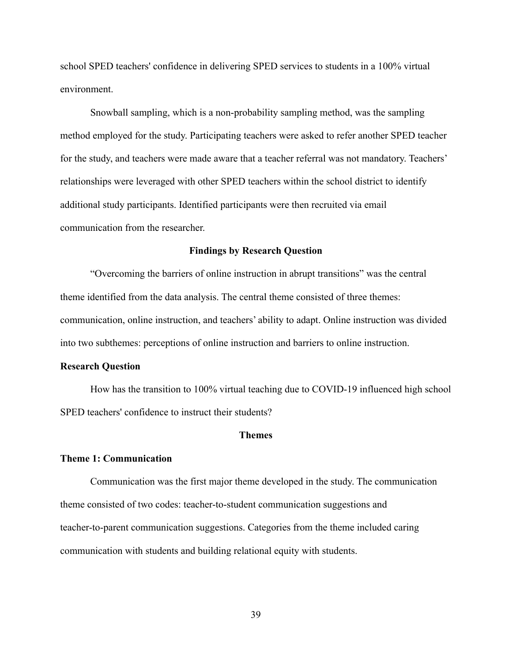school SPED teachers' confidence in delivering SPED services to students in a 100% virtual environment.

Snowball sampling, which is a non-probability sampling method, was the sampling method employed for the study. Participating teachers were asked to refer another SPED teacher for the study, and teachers were made aware that a teacher referral was not mandatory. Teachers' relationships were leveraged with other SPED teachers within the school district to identify additional study participants. Identified participants were then recruited via email communication from the researcher.

## **Findings by Research Question**

"Overcoming the barriers of online instruction in abrupt transitions" was the central theme identified from the data analysis. The central theme consisted of three themes: communication, online instruction, and teachers' ability to adapt. Online instruction was divided into two subthemes: perceptions of online instruction and barriers to online instruction.

#### **Research Question**

How has the transition to 100% virtual teaching due to COVID-19 influenced high school SPED teachers' confidence to instruct their students?

### **Themes**

### **Theme 1: Communication**

Communication was the first major theme developed in the study. The communication theme consisted of two codes: teacher-to-student communication suggestions and teacher-to-parent communication suggestions. Categories from the theme included caring communication with students and building relational equity with students.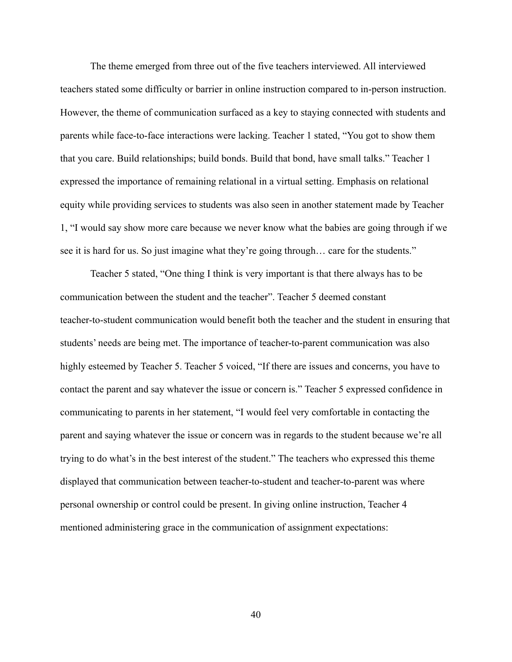The theme emerged from three out of the five teachers interviewed. All interviewed teachers stated some difficulty or barrier in online instruction compared to in-person instruction. However, the theme of communication surfaced as a key to staying connected with students and parents while face-to-face interactions were lacking. Teacher 1 stated, "You got to show them that you care. Build relationships; build bonds. Build that bond, have small talks." Teacher 1 expressed the importance of remaining relational in a virtual setting. Emphasis on relational equity while providing services to students was also seen in another statement made by Teacher 1, "I would say show more care because we never know what the babies are going through if we see it is hard for us. So just imagine what they're going through… care for the students."

Teacher 5 stated, "One thing I think is very important is that there always has to be communication between the student and the teacher". Teacher 5 deemed constant teacher-to-student communication would benefit both the teacher and the student in ensuring that students' needs are being met. The importance of teacher-to-parent communication was also highly esteemed by Teacher 5. Teacher 5 voiced, "If there are issues and concerns, you have to contact the parent and say whatever the issue or concern is." Teacher 5 expressed confidence in communicating to parents in her statement, "I would feel very comfortable in contacting the parent and saying whatever the issue or concern was in regards to the student because we're all trying to do what's in the best interest of the student." The teachers who expressed this theme displayed that communication between teacher-to-student and teacher-to-parent was where personal ownership or control could be present. In giving online instruction, Teacher 4 mentioned administering grace in the communication of assignment expectations: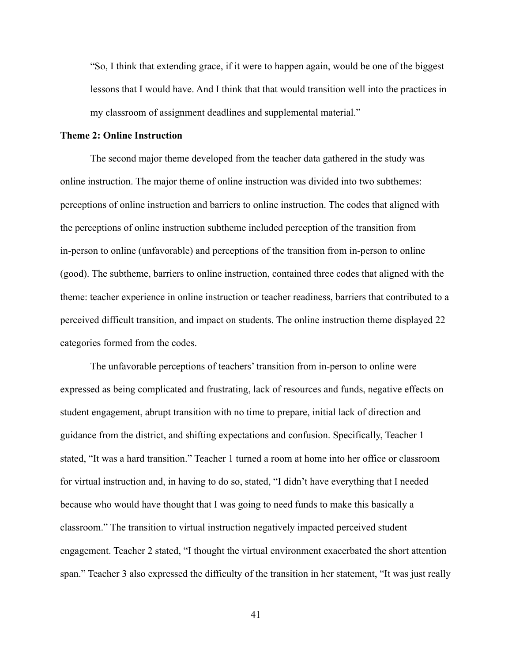"So, I think that extending grace, if it were to happen again, would be one of the biggest lessons that I would have. And I think that that would transition well into the practices in my classroom of assignment deadlines and supplemental material."

#### **Theme 2: Online Instruction**

The second major theme developed from the teacher data gathered in the study was online instruction. The major theme of online instruction was divided into two subthemes: perceptions of online instruction and barriers to online instruction. The codes that aligned with the perceptions of online instruction subtheme included perception of the transition from in-person to online (unfavorable) and perceptions of the transition from in-person to online (good). The subtheme, barriers to online instruction, contained three codes that aligned with the theme: teacher experience in online instruction or teacher readiness, barriers that contributed to a perceived difficult transition, and impact on students. The online instruction theme displayed 22 categories formed from the codes.

The unfavorable perceptions of teachers' transition from in-person to online were expressed as being complicated and frustrating, lack of resources and funds, negative effects on student engagement, abrupt transition with no time to prepare, initial lack of direction and guidance from the district, and shifting expectations and confusion. Specifically, Teacher 1 stated, "It was a hard transition." Teacher 1 turned a room at home into her office or classroom for virtual instruction and, in having to do so, stated, "I didn't have everything that I needed because who would have thought that I was going to need funds to make this basically a classroom." The transition to virtual instruction negatively impacted perceived student engagement. Teacher 2 stated, "I thought the virtual environment exacerbated the short attention span." Teacher 3 also expressed the difficulty of the transition in her statement, "It was just really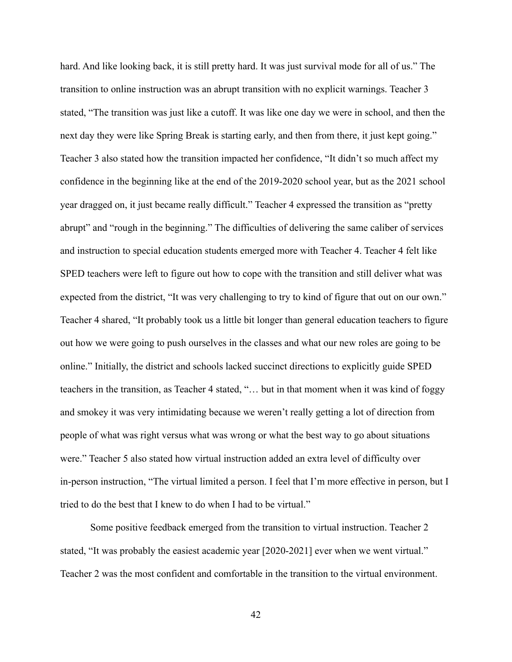hard. And like looking back, it is still pretty hard. It was just survival mode for all of us." The transition to online instruction was an abrupt transition with no explicit warnings. Teacher 3 stated, "The transition was just like a cutoff. It was like one day we were in school, and then the next day they were like Spring Break is starting early, and then from there, it just kept going." Teacher 3 also stated how the transition impacted her confidence, "It didn't so much affect my confidence in the beginning like at the end of the 2019-2020 school year, but as the 2021 school year dragged on, it just became really difficult." Teacher 4 expressed the transition as "pretty abrupt" and "rough in the beginning." The difficulties of delivering the same caliber of services and instruction to special education students emerged more with Teacher 4. Teacher 4 felt like SPED teachers were left to figure out how to cope with the transition and still deliver what was expected from the district, "It was very challenging to try to kind of figure that out on our own." Teacher 4 shared, "It probably took us a little bit longer than general education teachers to figure out how we were going to push ourselves in the classes and what our new roles are going to be online." Initially, the district and schools lacked succinct directions to explicitly guide SPED teachers in the transition, as Teacher 4 stated, "… but in that moment when it was kind of foggy and smokey it was very intimidating because we weren't really getting a lot of direction from people of what was right versus what was wrong or what the best way to go about situations were." Teacher 5 also stated how virtual instruction added an extra level of difficulty over in-person instruction, "The virtual limited a person. I feel that I'm more effective in person, but I tried to do the best that I knew to do when I had to be virtual."

Some positive feedback emerged from the transition to virtual instruction. Teacher 2 stated, "It was probably the easiest academic year [2020-2021] ever when we went virtual." Teacher 2 was the most confident and comfortable in the transition to the virtual environment.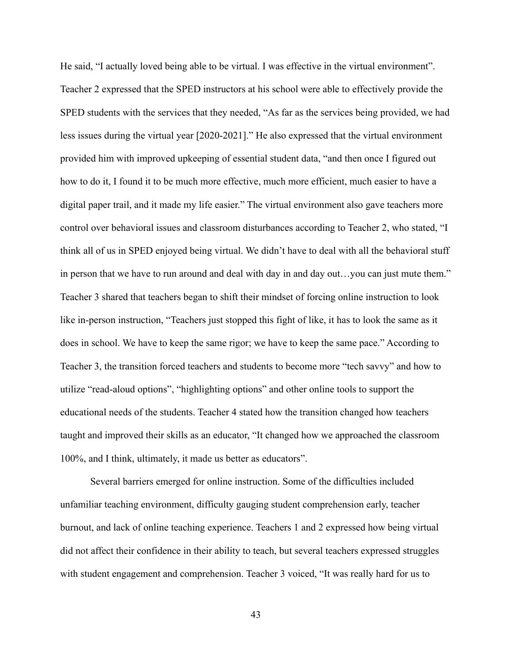He said, "I actually loved being able to be virtual. I was effective in the virtual environment". Teacher 2 expressed that the SPED instructors at his school were able to effectively provide the SPED students with the services that they needed, "As far as the services being provided, we had less issues during the virtual year [2020-2021]." He also expressed that the virtual environment provided him with improved upkeeping of essential student data, "and then once I figured out how to do it, I found it to be much more effective, much more efficient, much easier to have a digital paper trail, and it made my life easier." The virtual environment also gave teachers more control over behavioral issues and classroom disturbances according to Teacher 2, who stated, "I think all of us in SPED enjoyed being virtual. We didn't have to deal with all the behavioral stuff in person that we have to run around and deal with day in and day out…you can just mute them." Teacher 3 shared that teachers began to shift their mindset of forcing online instruction to look like in-person instruction, "Teachers just stopped this fight of like, it has to look the same as it does in school. We have to keep the same rigor; we have to keep the same pace." According to Teacher 3, the transition forced teachers and students to become more "tech savvy" and how to utilize "read-aloud options", "highlighting options" and other online tools to support the educational needs of the students. Teacher 4 stated how the transition changed how teachers taught and improved their skills as an educator, "It changed how we approached the classroom 100%, and I think, ultimately, it made us better as educators".

Several barriers emerged for online instruction. Some of the difficulties included unfamiliar teaching environment, difficulty gauging student comprehension early, teacher burnout, and lack of online teaching experience. Teachers 1 and 2 expressed how being virtual did not affect their confidence in their ability to teach, but several teachers expressed struggles with student engagement and comprehension. Teacher 3 voiced, "It was really hard for us to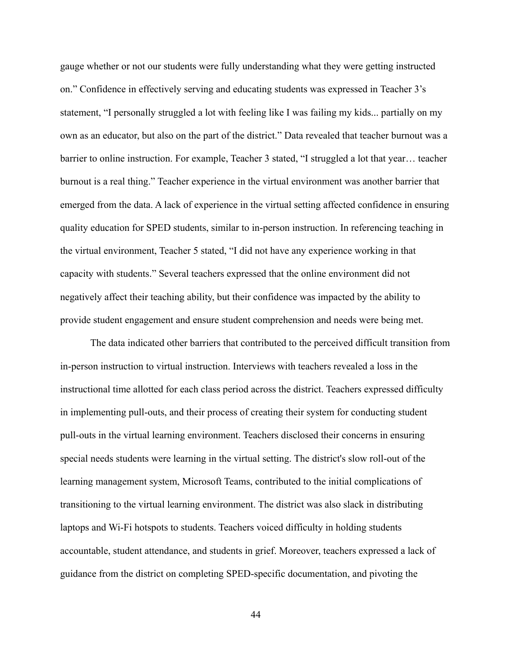gauge whether or not our students were fully understanding what they were getting instructed on." Confidence in effectively serving and educating students was expressed in Teacher 3's statement, "I personally struggled a lot with feeling like I was failing my kids... partially on my own as an educator, but also on the part of the district." Data revealed that teacher burnout was a barrier to online instruction. For example, Teacher 3 stated, "I struggled a lot that year… teacher burnout is a real thing." Teacher experience in the virtual environment was another barrier that emerged from the data. A lack of experience in the virtual setting affected confidence in ensuring quality education for SPED students, similar to in-person instruction. In referencing teaching in the virtual environment, Teacher 5 stated, "I did not have any experience working in that capacity with students." Several teachers expressed that the online environment did not negatively affect their teaching ability, but their confidence was impacted by the ability to provide student engagement and ensure student comprehension and needs were being met.

The data indicated other barriers that contributed to the perceived difficult transition from in-person instruction to virtual instruction. Interviews with teachers revealed a loss in the instructional time allotted for each class period across the district. Teachers expressed difficulty in implementing pull-outs, and their process of creating their system for conducting student pull-outs in the virtual learning environment. Teachers disclosed their concerns in ensuring special needs students were learning in the virtual setting. The district's slow roll-out of the learning management system, Microsoft Teams, contributed to the initial complications of transitioning to the virtual learning environment. The district was also slack in distributing laptops and Wi-Fi hotspots to students. Teachers voiced difficulty in holding students accountable, student attendance, and students in grief. Moreover, teachers expressed a lack of guidance from the district on completing SPED-specific documentation, and pivoting the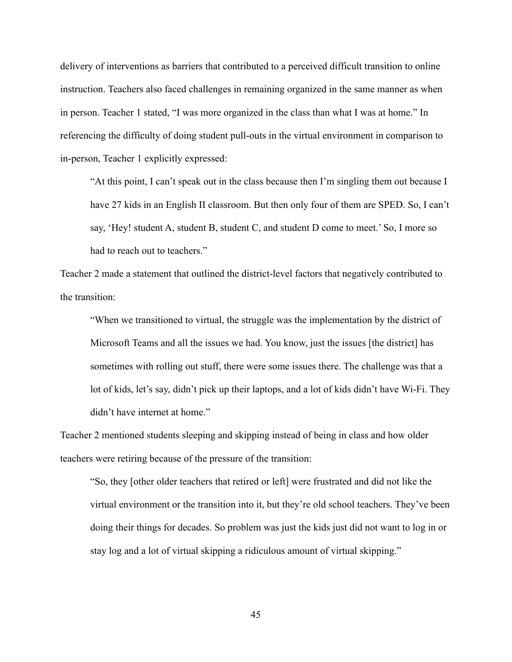delivery of interventions as barriers that contributed to a perceived difficult transition to online instruction. Teachers also faced challenges in remaining organized in the same manner as when in person. Teacher 1 stated, "I was more organized in the class than what I was at home." In referencing the difficulty of doing student pull-outs in the virtual environment in comparison to in-person, Teacher 1 explicitly expressed:

"At this point, I can't speak out in the class because then I'm singling them out because I have 27 kids in an English II classroom. But then only four of them are SPED. So, I can't say, 'Hey! student A, student B, student C, and student D come to meet.' So, I more so had to reach out to teachers."

Teacher 2 made a statement that outlined the district-level factors that negatively contributed to the transition:

"When we transitioned to virtual, the struggle was the implementation by the district of Microsoft Teams and all the issues we had. You know, just the issues [the district] has sometimes with rolling out stuff, there were some issues there. The challenge was that a lot of kids, let's say, didn't pick up their laptops, and a lot of kids didn't have Wi-Fi. They didn't have internet at home."

Teacher 2 mentioned students sleeping and skipping instead of being in class and how older teachers were retiring because of the pressure of the transition:

"So, they [other older teachers that retired or left] were frustrated and did not like the virtual environment or the transition into it, but they're old school teachers. They've been doing their things for decades. So problem was just the kids just did not want to log in or stay log and a lot of virtual skipping a ridiculous amount of virtual skipping."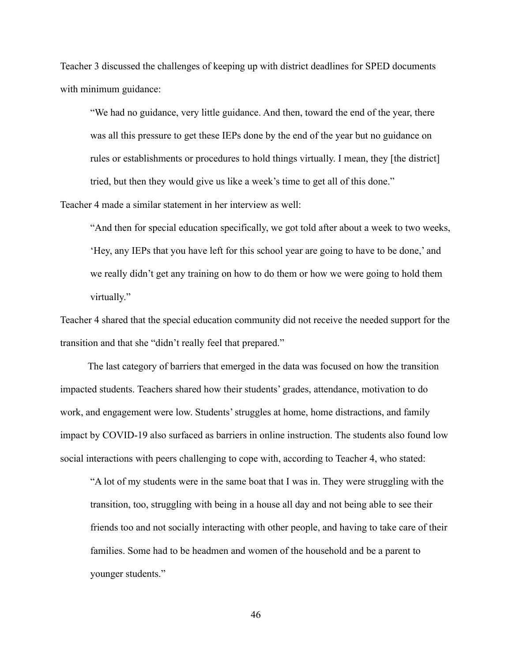Teacher 3 discussed the challenges of keeping up with district deadlines for SPED documents with minimum guidance:

"We had no guidance, very little guidance. And then, toward the end of the year, there was all this pressure to get these IEPs done by the end of the year but no guidance on rules or establishments or procedures to hold things virtually. I mean, they [the district] tried, but then they would give us like a week's time to get all of this done."

Teacher 4 made a similar statement in her interview as well:

"And then for special education specifically, we got told after about a week to two weeks, 'Hey, any IEPs that you have left for this school year are going to have to be done,' and we really didn't get any training on how to do them or how we were going to hold them virtually."

Teacher 4 shared that the special education community did not receive the needed support for the transition and that she "didn't really feel that prepared."

The last category of barriers that emerged in the data was focused on how the transition impacted students. Teachers shared how their students' grades, attendance, motivation to do work, and engagement were low. Students' struggles at home, home distractions, and family impact by COVID-19 also surfaced as barriers in online instruction. The students also found low social interactions with peers challenging to cope with, according to Teacher 4, who stated:

"A lot of my students were in the same boat that I was in. They were struggling with the transition, too, struggling with being in a house all day and not being able to see their friends too and not socially interacting with other people, and having to take care of their families. Some had to be headmen and women of the household and be a parent to younger students."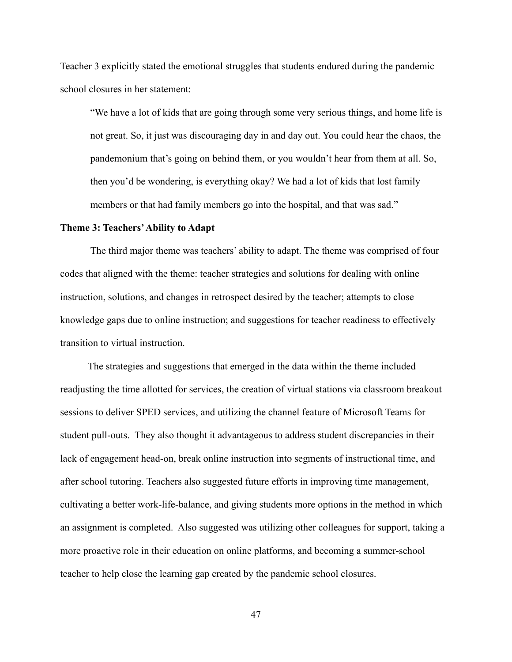Teacher 3 explicitly stated the emotional struggles that students endured during the pandemic school closures in her statement:

"We have a lot of kids that are going through some very serious things, and home life is not great. So, it just was discouraging day in and day out. You could hear the chaos, the pandemonium that's going on behind them, or you wouldn't hear from them at all. So, then you'd be wondering, is everything okay? We had a lot of kids that lost family members or that had family members go into the hospital, and that was sad."

#### **Theme 3: Teachers'Ability to Adapt**

The third major theme was teachers' ability to adapt. The theme was comprised of four codes that aligned with the theme: teacher strategies and solutions for dealing with online instruction, solutions, and changes in retrospect desired by the teacher; attempts to close knowledge gaps due to online instruction; and suggestions for teacher readiness to effectively transition to virtual instruction.

The strategies and suggestions that emerged in the data within the theme included readjusting the time allotted for services, the creation of virtual stations via classroom breakout sessions to deliver SPED services, and utilizing the channel feature of Microsoft Teams for student pull-outs. They also thought it advantageous to address student discrepancies in their lack of engagement head-on, break online instruction into segments of instructional time, and after school tutoring. Teachers also suggested future efforts in improving time management, cultivating a better work-life-balance, and giving students more options in the method in which an assignment is completed. Also suggested was utilizing other colleagues for support, taking a more proactive role in their education on online platforms, and becoming a summer-school teacher to help close the learning gap created by the pandemic school closures.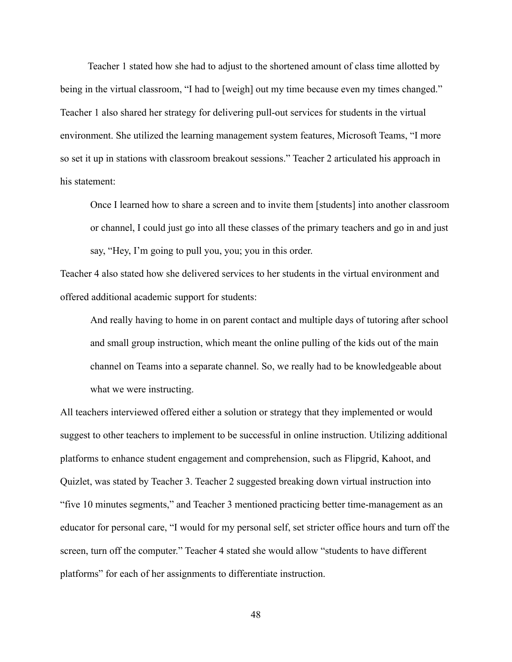Teacher 1 stated how she had to adjust to the shortened amount of class time allotted by being in the virtual classroom, "I had to [weigh] out my time because even my times changed." Teacher 1 also shared her strategy for delivering pull-out services for students in the virtual environment. She utilized the learning management system features, Microsoft Teams, "I more so set it up in stations with classroom breakout sessions." Teacher 2 articulated his approach in his statement:

Once I learned how to share a screen and to invite them [students] into another classroom or channel, I could just go into all these classes of the primary teachers and go in and just say, "Hey, I'm going to pull you, you; you in this order.

Teacher 4 also stated how she delivered services to her students in the virtual environment and offered additional academic support for students:

And really having to home in on parent contact and multiple days of tutoring after school and small group instruction, which meant the online pulling of the kids out of the main channel on Teams into a separate channel. So, we really had to be knowledgeable about what we were instructing.

All teachers interviewed offered either a solution or strategy that they implemented or would suggest to other teachers to implement to be successful in online instruction. Utilizing additional platforms to enhance student engagement and comprehension, such as Flipgrid, Kahoot, and Quizlet, was stated by Teacher 3. Teacher 2 suggested breaking down virtual instruction into "five 10 minutes segments," and Teacher 3 mentioned practicing better time-management as an educator for personal care, "I would for my personal self, set stricter office hours and turn off the screen, turn off the computer." Teacher 4 stated she would allow "students to have different platforms" for each of her assignments to differentiate instruction.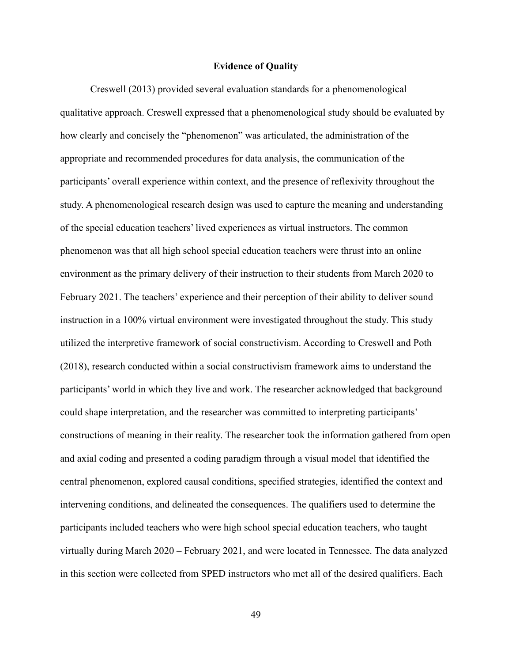#### **Evidence of Quality**

Creswell (2013) provided several evaluation standards for a phenomenological qualitative approach. Creswell expressed that a phenomenological study should be evaluated by how clearly and concisely the "phenomenon" was articulated, the administration of the appropriate and recommended procedures for data analysis, the communication of the participants' overall experience within context, and the presence of reflexivity throughout the study. A phenomenological research design was used to capture the meaning and understanding of the special education teachers' lived experiences as virtual instructors. The common phenomenon was that all high school special education teachers were thrust into an online environment as the primary delivery of their instruction to their students from March 2020 to February 2021. The teachers' experience and their perception of their ability to deliver sound instruction in a 100% virtual environment were investigated throughout the study. This study utilized the interpretive framework of social constructivism. According to Creswell and Poth (2018), research conducted within a social constructivism framework aims to understand the participants' world in which they live and work. The researcher acknowledged that background could shape interpretation, and the researcher was committed to interpreting participants' constructions of meaning in their reality. The researcher took the information gathered from open and axial coding and presented a coding paradigm through a visual model that identified the central phenomenon, explored causal conditions, specified strategies, identified the context and intervening conditions, and delineated the consequences. The qualifiers used to determine the participants included teachers who were high school special education teachers, who taught virtually during March 2020 – February 2021, and were located in Tennessee. The data analyzed in this section were collected from SPED instructors who met all of the desired qualifiers. Each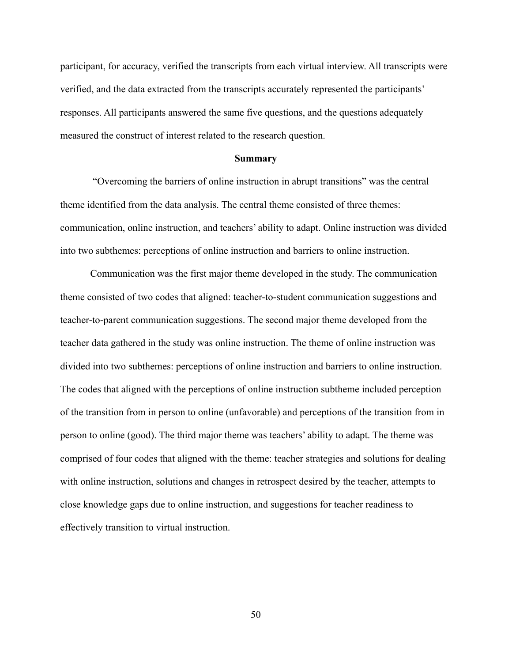participant, for accuracy, verified the transcripts from each virtual interview. All transcripts were verified, and the data extracted from the transcripts accurately represented the participants' responses. All participants answered the same five questions, and the questions adequately measured the construct of interest related to the research question.

#### **Summary**

"Overcoming the barriers of online instruction in abrupt transitions" was the central theme identified from the data analysis. The central theme consisted of three themes: communication, online instruction, and teachers' ability to adapt. Online instruction was divided into two subthemes: perceptions of online instruction and barriers to online instruction.

Communication was the first major theme developed in the study. The communication theme consisted of two codes that aligned: teacher-to-student communication suggestions and teacher-to-parent communication suggestions. The second major theme developed from the teacher data gathered in the study was online instruction. The theme of online instruction was divided into two subthemes: perceptions of online instruction and barriers to online instruction. The codes that aligned with the perceptions of online instruction subtheme included perception of the transition from in person to online (unfavorable) and perceptions of the transition from in person to online (good). The third major theme was teachers' ability to adapt. The theme was comprised of four codes that aligned with the theme: teacher strategies and solutions for dealing with online instruction, solutions and changes in retrospect desired by the teacher, attempts to close knowledge gaps due to online instruction, and suggestions for teacher readiness to effectively transition to virtual instruction.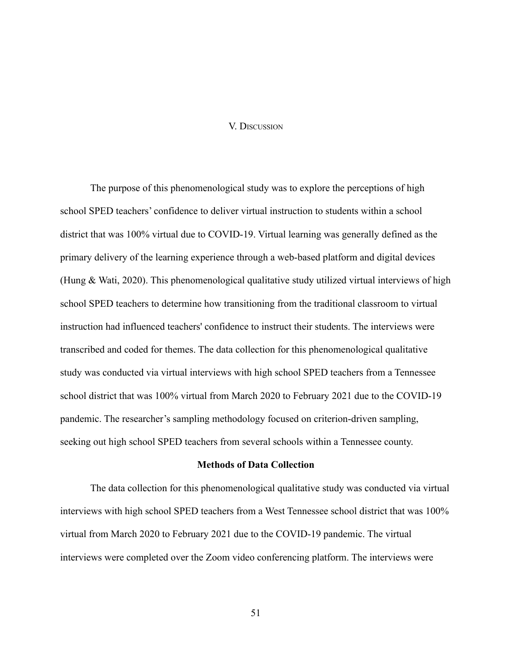### V. DISCUSSION

The purpose of this phenomenological study was to explore the perceptions of high school SPED teachers' confidence to deliver virtual instruction to students within a school district that was 100% virtual due to COVID-19. Virtual learning was generally defined as the primary delivery of the learning experience through a web-based platform and digital devices (Hung & Wati, 2020). This phenomenological qualitative study utilized virtual interviews of high school SPED teachers to determine how transitioning from the traditional classroom to virtual instruction had influenced teachers' confidence to instruct their students. The interviews were transcribed and coded for themes. The data collection for this phenomenological qualitative study was conducted via virtual interviews with high school SPED teachers from a Tennessee school district that was 100% virtual from March 2020 to February 2021 due to the COVID-19 pandemic. The researcher's sampling methodology focused on criterion-driven sampling, seeking out high school SPED teachers from several schools within a Tennessee county.

## **Methods of Data Collection**

The data collection for this phenomenological qualitative study was conducted via virtual interviews with high school SPED teachers from a West Tennessee school district that was 100% virtual from March 2020 to February 2021 due to the COVID-19 pandemic. The virtual interviews were completed over the Zoom video conferencing platform. The interviews were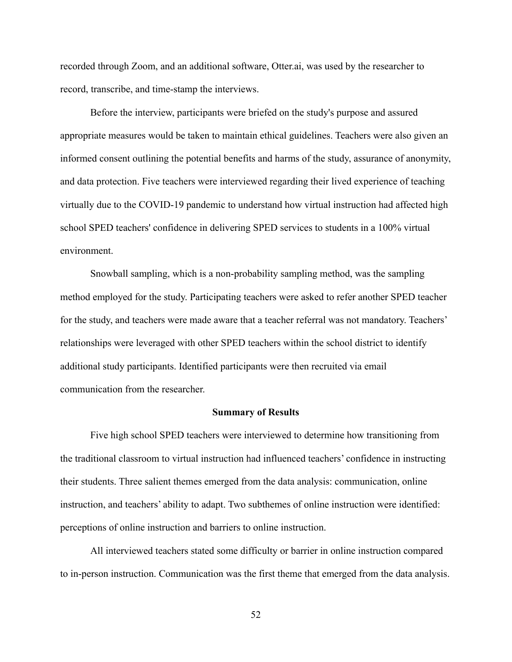recorded through Zoom, and an additional software, Otter.ai, was used by the researcher to record, transcribe, and time-stamp the interviews.

Before the interview, participants were briefed on the study's purpose and assured appropriate measures would be taken to maintain ethical guidelines. Teachers were also given an informed consent outlining the potential benefits and harms of the study, assurance of anonymity, and data protection. Five teachers were interviewed regarding their lived experience of teaching virtually due to the COVID-19 pandemic to understand how virtual instruction had affected high school SPED teachers' confidence in delivering SPED services to students in a 100% virtual environment.

Snowball sampling, which is a non-probability sampling method, was the sampling method employed for the study. Participating teachers were asked to refer another SPED teacher for the study, and teachers were made aware that a teacher referral was not mandatory. Teachers' relationships were leveraged with other SPED teachers within the school district to identify additional study participants. Identified participants were then recruited via email communication from the researcher.

### **Summary of Results**

Five high school SPED teachers were interviewed to determine how transitioning from the traditional classroom to virtual instruction had influenced teachers' confidence in instructing their students. Three salient themes emerged from the data analysis: communication, online instruction, and teachers' ability to adapt. Two subthemes of online instruction were identified: perceptions of online instruction and barriers to online instruction.

All interviewed teachers stated some difficulty or barrier in online instruction compared to in-person instruction. Communication was the first theme that emerged from the data analysis.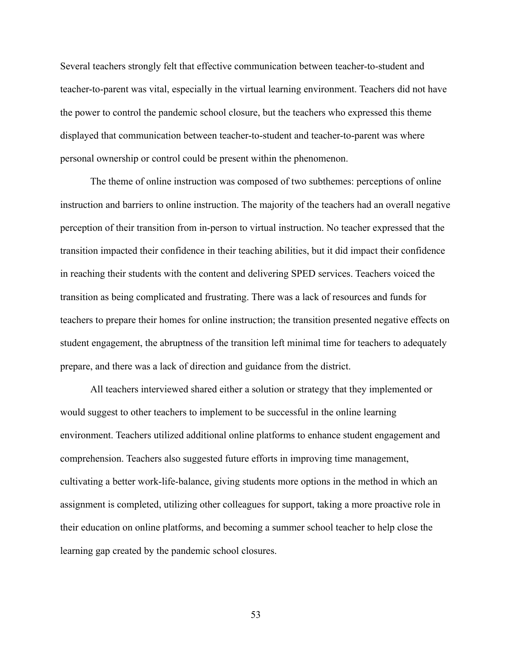Several teachers strongly felt that effective communication between teacher-to-student and teacher-to-parent was vital, especially in the virtual learning environment. Teachers did not have the power to control the pandemic school closure, but the teachers who expressed this theme displayed that communication between teacher-to-student and teacher-to-parent was where personal ownership or control could be present within the phenomenon.

The theme of online instruction was composed of two subthemes: perceptions of online instruction and barriers to online instruction. The majority of the teachers had an overall negative perception of their transition from in-person to virtual instruction. No teacher expressed that the transition impacted their confidence in their teaching abilities, but it did impact their confidence in reaching their students with the content and delivering SPED services. Teachers voiced the transition as being complicated and frustrating. There was a lack of resources and funds for teachers to prepare their homes for online instruction; the transition presented negative effects on student engagement, the abruptness of the transition left minimal time for teachers to adequately prepare, and there was a lack of direction and guidance from the district.

All teachers interviewed shared either a solution or strategy that they implemented or would suggest to other teachers to implement to be successful in the online learning environment. Teachers utilized additional online platforms to enhance student engagement and comprehension. Teachers also suggested future efforts in improving time management, cultivating a better work-life-balance, giving students more options in the method in which an assignment is completed, utilizing other colleagues for support, taking a more proactive role in their education on online platforms, and becoming a summer school teacher to help close the learning gap created by the pandemic school closures.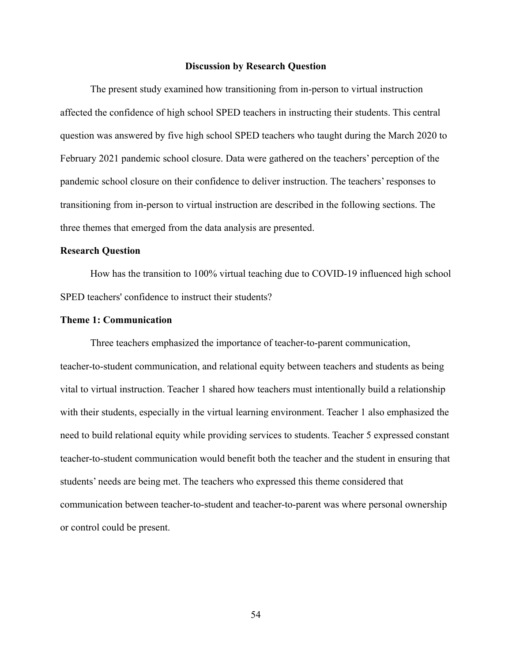#### **Discussion by Research Question**

The present study examined how transitioning from in-person to virtual instruction affected the confidence of high school SPED teachers in instructing their students. This central question was answered by five high school SPED teachers who taught during the March 2020 to February 2021 pandemic school closure. Data were gathered on the teachers' perception of the pandemic school closure on their confidence to deliver instruction. The teachers' responses to transitioning from in-person to virtual instruction are described in the following sections. The three themes that emerged from the data analysis are presented.

# **Research Question**

How has the transition to 100% virtual teaching due to COVID-19 influenced high school SPED teachers' confidence to instruct their students?

## **Theme 1: Communication**

Three teachers emphasized the importance of teacher-to-parent communication, teacher-to-student communication, and relational equity between teachers and students as being vital to virtual instruction. Teacher 1 shared how teachers must intentionally build a relationship with their students, especially in the virtual learning environment. Teacher 1 also emphasized the need to build relational equity while providing services to students. Teacher 5 expressed constant teacher-to-student communication would benefit both the teacher and the student in ensuring that students' needs are being met. The teachers who expressed this theme considered that communication between teacher-to-student and teacher-to-parent was where personal ownership or control could be present.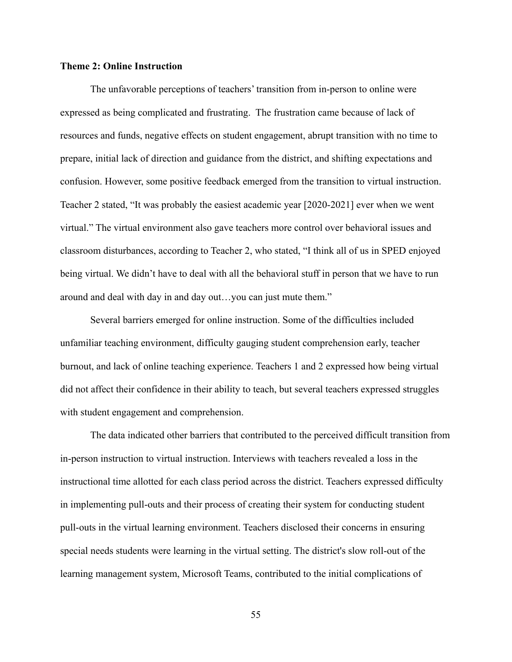# **Theme 2: Online Instruction**

The unfavorable perceptions of teachers' transition from in-person to online were expressed as being complicated and frustrating. The frustration came because of lack of resources and funds, negative effects on student engagement, abrupt transition with no time to prepare, initial lack of direction and guidance from the district, and shifting expectations and confusion. However, some positive feedback emerged from the transition to virtual instruction. Teacher 2 stated, "It was probably the easiest academic year [2020-2021] ever when we went virtual." The virtual environment also gave teachers more control over behavioral issues and classroom disturbances, according to Teacher 2, who stated, "I think all of us in SPED enjoyed being virtual. We didn't have to deal with all the behavioral stuff in person that we have to run around and deal with day in and day out…you can just mute them."

Several barriers emerged for online instruction. Some of the difficulties included unfamiliar teaching environment, difficulty gauging student comprehension early, teacher burnout, and lack of online teaching experience. Teachers 1 and 2 expressed how being virtual did not affect their confidence in their ability to teach, but several teachers expressed struggles with student engagement and comprehension.

The data indicated other barriers that contributed to the perceived difficult transition from in-person instruction to virtual instruction. Interviews with teachers revealed a loss in the instructional time allotted for each class period across the district. Teachers expressed difficulty in implementing pull-outs and their process of creating their system for conducting student pull-outs in the virtual learning environment. Teachers disclosed their concerns in ensuring special needs students were learning in the virtual setting. The district's slow roll-out of the learning management system, Microsoft Teams, contributed to the initial complications of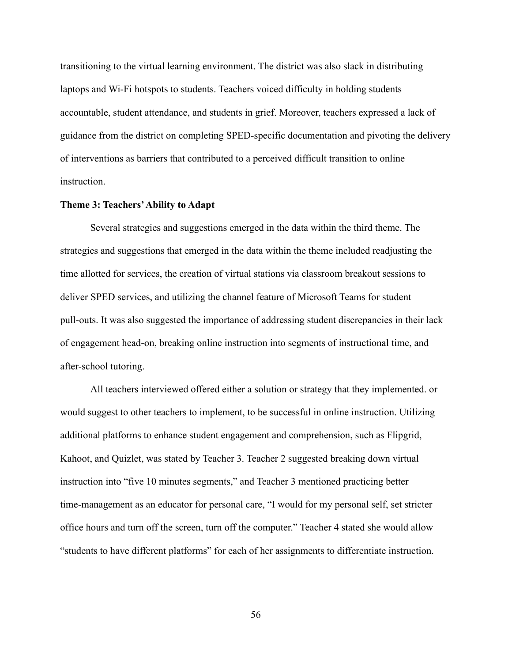transitioning to the virtual learning environment. The district was also slack in distributing laptops and Wi-Fi hotspots to students. Teachers voiced difficulty in holding students accountable, student attendance, and students in grief. Moreover, teachers expressed a lack of guidance from the district on completing SPED-specific documentation and pivoting the delivery of interventions as barriers that contributed to a perceived difficult transition to online **instruction** 

### **Theme 3: Teachers'Ability to Adapt**

Several strategies and suggestions emerged in the data within the third theme. The strategies and suggestions that emerged in the data within the theme included readjusting the time allotted for services, the creation of virtual stations via classroom breakout sessions to deliver SPED services, and utilizing the channel feature of Microsoft Teams for student pull-outs. It was also suggested the importance of addressing student discrepancies in their lack of engagement head-on, breaking online instruction into segments of instructional time, and after-school tutoring.

All teachers interviewed offered either a solution or strategy that they implemented. or would suggest to other teachers to implement, to be successful in online instruction. Utilizing additional platforms to enhance student engagement and comprehension, such as Flipgrid, Kahoot, and Quizlet, was stated by Teacher 3. Teacher 2 suggested breaking down virtual instruction into "five 10 minutes segments," and Teacher 3 mentioned practicing better time-management as an educator for personal care, "I would for my personal self, set stricter office hours and turn off the screen, turn off the computer." Teacher 4 stated she would allow "students to have different platforms" for each of her assignments to differentiate instruction.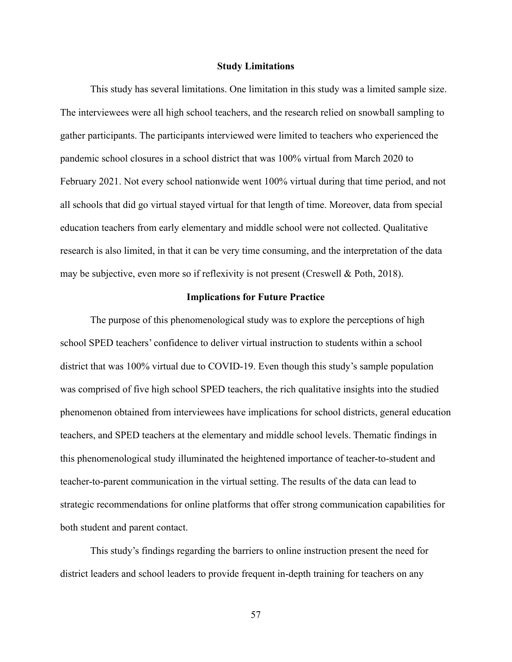#### **Study Limitations**

This study has several limitations. One limitation in this study was a limited sample size. The interviewees were all high school teachers, and the research relied on snowball sampling to gather participants. The participants interviewed were limited to teachers who experienced the pandemic school closures in a school district that was 100% virtual from March 2020 to February 2021. Not every school nationwide went 100% virtual during that time period, and not all schools that did go virtual stayed virtual for that length of time. Moreover, data from special education teachers from early elementary and middle school were not collected. Qualitative research is also limited, in that it can be very time consuming, and the interpretation of the data may be subjective, even more so if reflexivity is not present (Creswell & Poth, 2018).

### **Implications for Future Practice**

The purpose of this phenomenological study was to explore the perceptions of high school SPED teachers' confidence to deliver virtual instruction to students within a school district that was 100% virtual due to COVID-19. Even though this study's sample population was comprised of five high school SPED teachers, the rich qualitative insights into the studied phenomenon obtained from interviewees have implications for school districts, general education teachers, and SPED teachers at the elementary and middle school levels. Thematic findings in this phenomenological study illuminated the heightened importance of teacher-to-student and teacher-to-parent communication in the virtual setting. The results of the data can lead to strategic recommendations for online platforms that offer strong communication capabilities for both student and parent contact.

This study's findings regarding the barriers to online instruction present the need for district leaders and school leaders to provide frequent in-depth training for teachers on any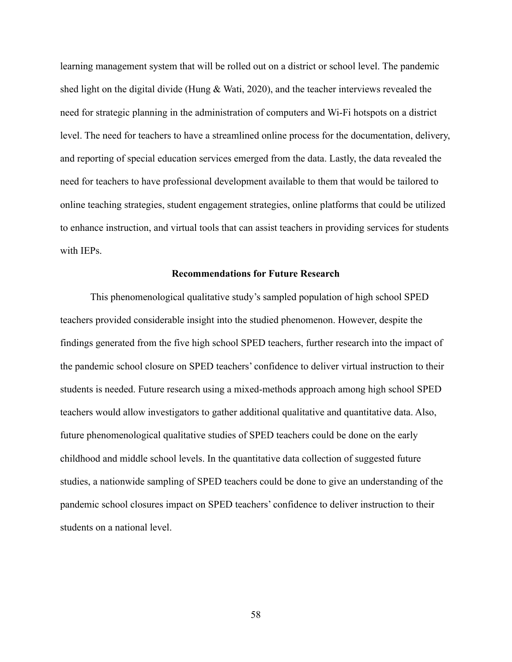learning management system that will be rolled out on a district or school level. The pandemic shed light on the digital divide (Hung & Wati, 2020), and the teacher interviews revealed the need for strategic planning in the administration of computers and Wi-Fi hotspots on a district level. The need for teachers to have a streamlined online process for the documentation, delivery, and reporting of special education services emerged from the data. Lastly, the data revealed the need for teachers to have professional development available to them that would be tailored to online teaching strategies, student engagement strategies, online platforms that could be utilized to enhance instruction, and virtual tools that can assist teachers in providing services for students with IEPs.

# **Recommendations for Future Research**

This phenomenological qualitative study's sampled population of high school SPED teachers provided considerable insight into the studied phenomenon. However, despite the findings generated from the five high school SPED teachers, further research into the impact of the pandemic school closure on SPED teachers' confidence to deliver virtual instruction to their students is needed. Future research using a mixed-methods approach among high school SPED teachers would allow investigators to gather additional qualitative and quantitative data. Also, future phenomenological qualitative studies of SPED teachers could be done on the early childhood and middle school levels. In the quantitative data collection of suggested future studies, a nationwide sampling of SPED teachers could be done to give an understanding of the pandemic school closures impact on SPED teachers' confidence to deliver instruction to their students on a national level.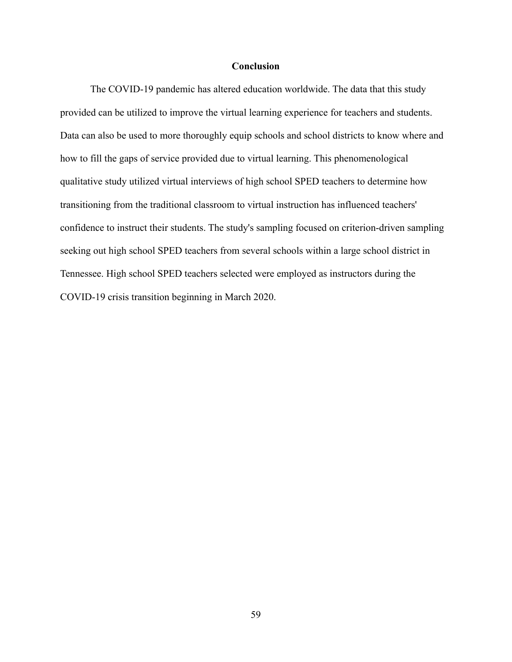# **Conclusion**

The COVID-19 pandemic has altered education worldwide. The data that this study provided can be utilized to improve the virtual learning experience for teachers and students. Data can also be used to more thoroughly equip schools and school districts to know where and how to fill the gaps of service provided due to virtual learning. This phenomenological qualitative study utilized virtual interviews of high school SPED teachers to determine how transitioning from the traditional classroom to virtual instruction has influenced teachers' confidence to instruct their students. The study's sampling focused on criterion-driven sampling seeking out high school SPED teachers from several schools within a large school district in Tennessee. High school SPED teachers selected were employed as instructors during the COVID-19 crisis transition beginning in March 2020.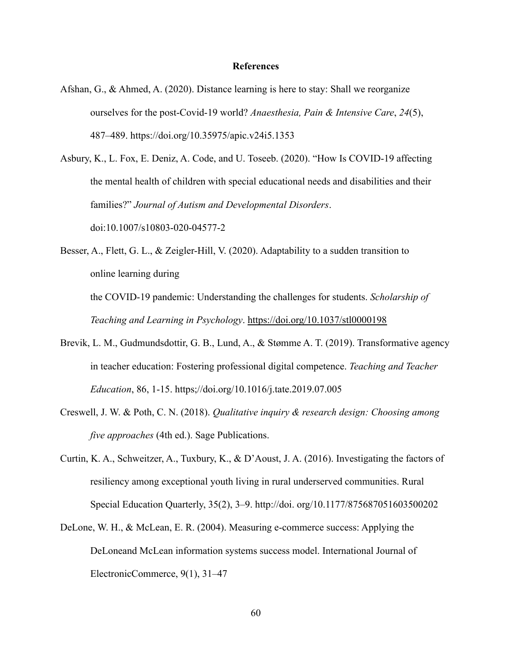### **References**

- Afshan, G., & Ahmed, A. (2020). Distance learning is here to stay: Shall we reorganize ourselves for the post-Covid-19 world? *Anaesthesia, Pain & Intensive Care*, *24*(5), 487–489. https://doi.org/10.35975/apic.v24i5.1353
- Asbury, K., L. Fox, E. Deniz, A. Code, and U. Toseeb. (2020). "How Is COVID-19 affecting the mental health of children with special educational needs and disabilities and their families?" *Journal of Autism and Developmental Disorders*. doi:10.1007/s10803-020-04577-2
- Besser, A., Flett, G. L., & Zeigler-Hill, V. (2020). Adaptability to a sudden transition to online learning during the COVID-19 pandemic: Understanding the challenges for students. *Scholarship of*

*Teaching and Learning in Psychology*. <https://doi.org/10.1037/stl0000198>

- Brevik, L. M., Gudmundsdottir, G. B., Lund, A., & Stømme A. T. (2019). Transformative agency in teacher education: Fostering professional digital competence. *Teaching and Teacher Education*, 86, 1-15. https;//doi.org/10.1016/j.tate.2019.07.005
- Creswell, J. W. & Poth, C. N. (2018). *Qualitative inquiry & research design: Choosing among five approaches* (4th ed.). Sage Publications.
- Curtin, K. A., Schweitzer, A., Tuxbury, K., & D'Aoust, J. A. (2016). Investigating the factors of resiliency among exceptional youth living in rural underserved communities. Rural Special Education Quarterly, 35(2), 3–9. http://doi. org/10.1177/875687051603500202
- DeLone, W. H., & McLean, E. R. (2004). Measuring e-commerce success: Applying the DeLoneand McLean information systems success model. International Journal of ElectronicCommerce, 9(1), 31–47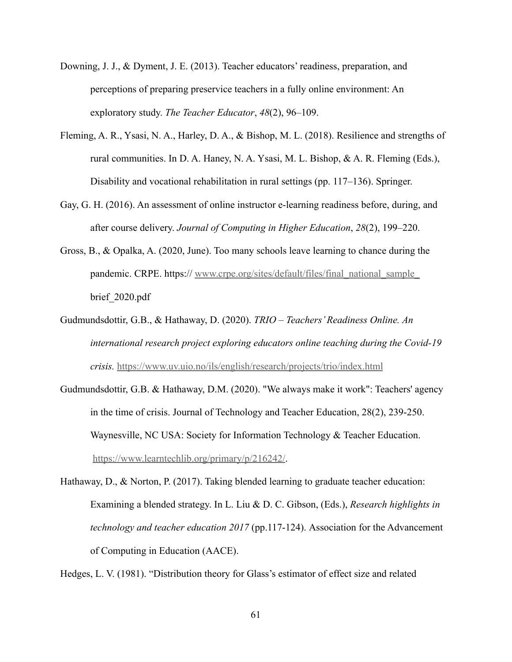- Downing, J. J., & Dyment, J. E. (2013). Teacher educators' readiness, preparation, and perceptions of preparing preservice teachers in a fully online environment: An exploratory study. *The Teacher Educator*, *48*(2), 96–109.
- Fleming, A. R., Ysasi, N. A., Harley, D. A., & Bishop, M. L. (2018). Resilience and strengths of rural communities. In D. A. Haney, N. A. Ysasi, M. L. Bishop, & A. R. Fleming (Eds.), Disability and vocational rehabilitation in rural settings (pp. 117–136). Springer.
- Gay, G. H. (2016). An assessment of online instructor e-learning readiness before, during, and after course delivery. *Journal of Computing in Higher Education*, *28*(2), 199–220.
- Gross, B., & Opalka, A. (2020, June). Too many schools leave learning to chance during the pandemic. CRPE. https:// [www.crpe.org/sites/default/files/final\\_national\\_sample\\_](http://www.crpe.org/sites/default/files/final_national_sample_) brief\_2020.pdf
- Gudmundsdottir, G.B., & Hathaway, D. (2020). *TRIO Teachers' Readiness Online. An international research project exploring educators online teaching during the Covid-19 crisis.* <https://www.uv.uio.no/ils/english/research/projects/trio/index.html>
- Gudmundsdottir, G.B. & Hathaway, D.M. (2020). "We always make it work": Teachers' agency in the time of crisis. Journal of Technology and Teacher Education, 28(2), 239-250. Waynesville, NC USA: Society for Information Technology & Teacher Education. <https://www.learntechlib.org/primary/p/216242/>.
- Hathaway, D., & Norton, P. (2017). Taking blended learning to graduate teacher education: Examining a blended strategy. In L. Liu & D. C. Gibson, (Eds.), *Research highlights in technology and teacher education 2017* (pp.117-124). Association for the Advancement of Computing in Education (AACE).

Hedges, L. V. (1981). "Distribution theory for Glass's estimator of effect size and related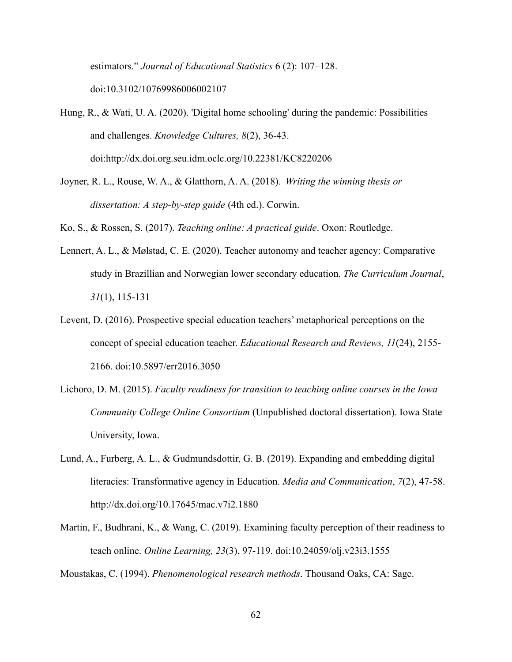estimators." *Journal of Educational Statistics* 6 (2): 107–128. doi:10.3102/10769986006002107

Hung, R., & Wati, U. A. (2020). 'Digital home schooling' during the pandemic: Possibilities and challenges. *Knowledge Cultures, 8*(2), 36-43. doi:http://dx.doi.org.seu.idm.oclc.org/10.22381/KC8220206

Joyner, R. L., Rouse, W. A., & Glatthorn, A. A. (2018). *Writing the winning thesis or dissertation: A step-by-step guide* (4th ed.). Corwin.

Ko, S., & Rossen, S. (2017). *Teaching online: A practical guide*. Oxon: Routledge.

- Lennert, A. L., & Mølstad, C. E. (2020). Teacher autonomy and teacher agency: Comparative study in Brazillian and Norwegian lower secondary education. *The Curriculum Journal*, *31*(1), 115-131
- Levent, D. (2016). Prospective special education teachers' metaphorical perceptions on the concept of special education teacher. *Educational Research and Reviews, 11*(24), 2155- 2166. doi:10.5897/err2016.3050
- Lichoro, D. M. (2015). *Faculty readiness for transition to teaching online courses in the Iowa Community College Online Consortium* (Unpublished doctoral dissertation). Iowa State University, Iowa.
- Lund, A., Furberg, A. L., & Gudmundsdottir, G. B. (2019). Expanding and embedding digital literacies: Transformative agency in Education. *Media and Communication*, *7*(2), 47-58. http://dx.doi.org/10.17645/mac.v7i2.1880
- Martin, F., Budhrani, K., & Wang, C. (2019). Examining faculty perception of their readiness to teach online. *Online Learning, 23*(3), 97-119. doi:10.24059/olj.v23i3.1555

Moustakas, C. (1994). *Phenomenological research methods*. Thousand Oaks, CA: Sage.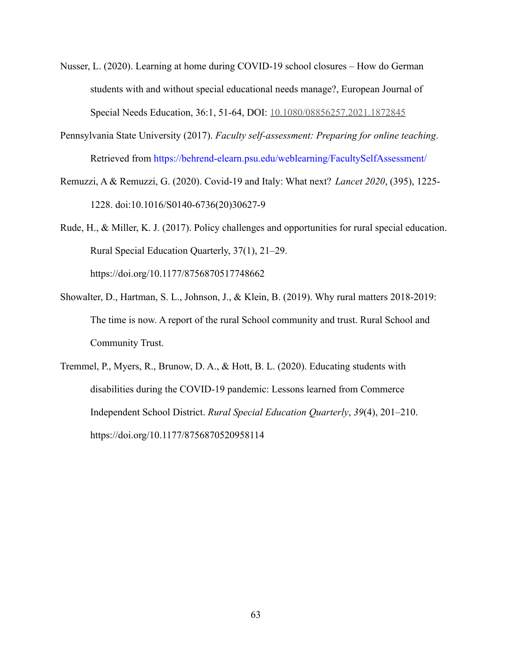- Nusser, L. (2020). Learning at home during COVID-19 school closures How do German students with and without special educational needs manage?, European Journal of Special Needs Education, 36:1, 51-64, DOI: [10.1080/08856257.2021.1872845](https://doi.org/10.1080/08856257.2021.1872845)
- Pennsylvania State University (2017). *Faculty self-assessment: Preparing for online teaching*. Retrieved from https://behrend-elearn.psu.edu/weblearning/FacultySelfAssessment/
- Remuzzi, A & Remuzzi, G. (2020). Covid-19 and Italy: What next? *Lancet 2020*, (395), 1225- 1228. doi:10.1016/S0140-6736(20)30627-9

Rude, H., & Miller, K. J. (2017). Policy challenges and opportunities for rural special education. Rural Special Education Quarterly, 37(1), 21–29. https://doi.org/10.1177/8756870517748662

- Showalter, D., Hartman, S. L., Johnson, J., & Klein, B. (2019). Why rural matters 2018-2019: The time is now. A report of the rural School community and trust. Rural School and Community Trust.
- Tremmel, P., Myers, R., Brunow, D. A., & Hott, B. L. (2020). Educating students with disabilities during the COVID-19 pandemic: Lessons learned from Commerce Independent School District. *Rural Special Education Quarterly*, *39*(4), 201–210. https://doi.org/10.1177/8756870520958114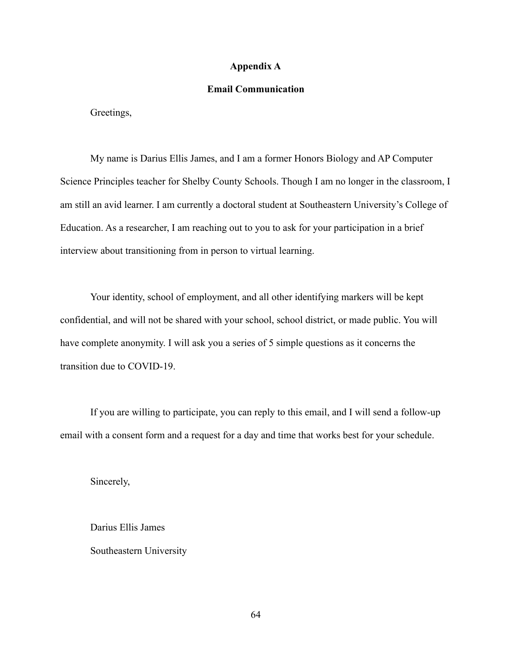#### **Appendix A**

#### **Email Communication**

Greetings,

My name is Darius Ellis James, and I am a former Honors Biology and AP Computer Science Principles teacher for Shelby County Schools. Though I am no longer in the classroom, I am still an avid learner. I am currently a doctoral student at Southeastern University's College of Education. As a researcher, I am reaching out to you to ask for your participation in a brief interview about transitioning from in person to virtual learning.

Your identity, school of employment, and all other identifying markers will be kept confidential, and will not be shared with your school, school district, or made public. You will have complete anonymity. I will ask you a series of 5 simple questions as it concerns the transition due to COVID-19.

If you are willing to participate, you can reply to this email, and I will send a follow-up email with a consent form and a request for a day and time that works best for your schedule.

Sincerely,

Darius Ellis James Southeastern University

64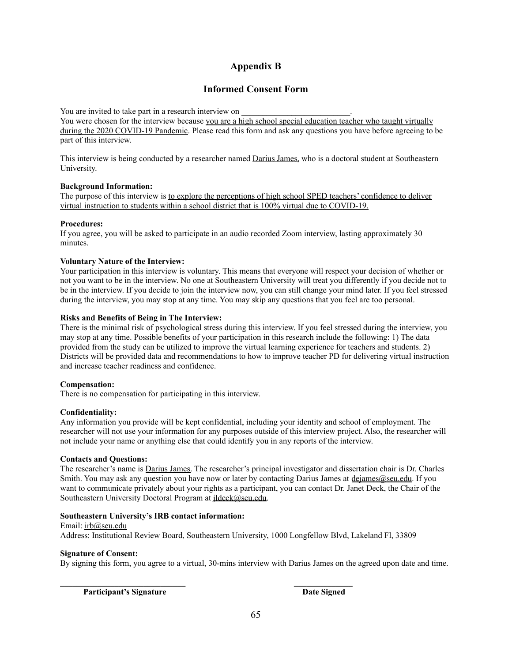### **Appendix B**

### **Informed Consent Form**

You are invited to take part in a research interview on

You were chosen for the interview because you are a high school special education teacher who taught virtually during the 2020 COVID-19 Pandemic. Please read this form and ask any questions you have before agreeing to be part of this interview.

This interview is being conducted by a researcher named Darius James, who is a doctoral student at Southeastern University.

#### **Background Information:**

The purpose of this interview is to explore the perceptions of high school SPED teachers' confidence to deliver virtual instruction to students within a school district that is 100% virtual due to COVID-19.

#### **Procedures:**

If you agree, you will be asked to participate in an audio recorded Zoom interview, lasting approximately 30 minutes.

#### **Voluntary Nature of the Interview:**

Your participation in this interview is voluntary. This means that everyone will respect your decision of whether or not you want to be in the interview. No one at Southeastern University will treat you differently if you decide not to be in the interview. If you decide to join the interview now, you can still change your mind later. If you feel stressed during the interview, you may stop at any time. You may skip any questions that you feel are too personal.

#### **Risks and Benefits of Being in The Interview:**

There is the minimal risk of psychological stress during this interview. If you feel stressed during the interview, you may stop at any time. Possible benefits of your participation in this research include the following: 1) The data provided from the study can be utilized to improve the virtual learning experience for teachers and students. 2) Districts will be provided data and recommendations to how to improve teacher PD for delivering virtual instruction and increase teacher readiness and confidence.

#### **Compensation:**

There is no compensation for participating in this interview.

#### **Confidentiality:**

Any information you provide will be kept confidential, including your identity and school of employment. The researcher will not use your information for any purposes outside of this interview project. Also, the researcher will not include your name or anything else that could identify you in any reports of the interview.

#### **Contacts and Questions:**

The researcher's name is Darius James. The researcher's principal investigator and dissertation chair is Dr. Charles Smith. You may ask any question you have now or later by contacting Darius James at [dejames@seu.edu.](mailto:dejames@seu.edu) If you want to communicate privately about your rights as a participant, you can contact Dr. Janet Deck, the Chair of the Southeastern University Doctoral Program at ildeck@seu.edu.

#### **Southeastern University's IRB contact information:**

Email: [irb@seu.edu](mailto:irb@seu.edu) Address: Institutional Review Board, Southeastern University, 1000 Longfellow Blvd, Lakeland Fl, 33809

**\_\_\_\_\_\_\_\_\_\_\_\_\_\_\_\_\_\_\_\_\_\_\_\_\_\_\_\_\_\_ \_\_\_\_\_\_\_\_\_\_\_\_\_\_**

#### **Signature of Consent:**

By signing this form, you agree to a virtual, 30-mins interview with Darius James on the agreed upon date and time.

**Participant's Signature Date Signed**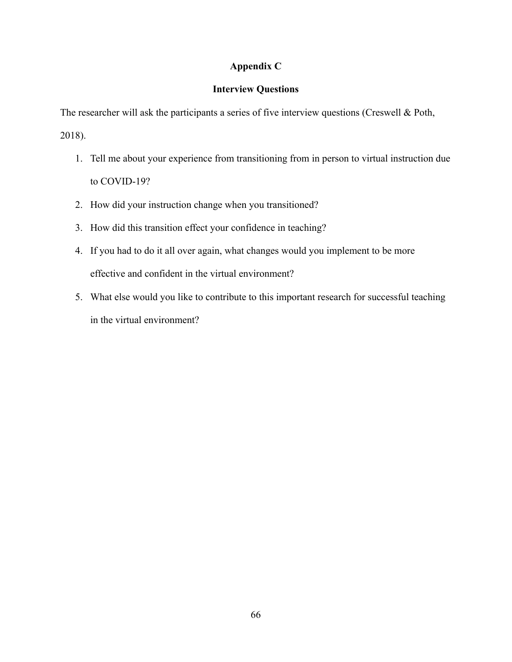### **Appendix C**

### **Interview Questions**

The researcher will ask the participants a series of five interview questions (Creswell & Poth,

2018).

- 1. Tell me about your experience from transitioning from in person to virtual instruction due to COVID-19?
- 2. How did your instruction change when you transitioned?
- 3. How did this transition effect your confidence in teaching?
- 4. If you had to do it all over again, what changes would you implement to be more effective and confident in the virtual environment?
- 5. What else would you like to contribute to this important research for successful teaching in the virtual environment?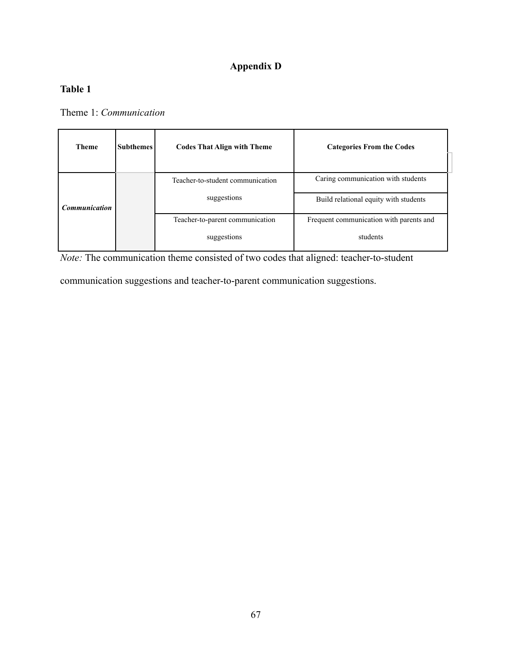## **Appendix D**

## **Table 1**

Theme 1: *Communication*

| <b>Subthemes</b><br><b>Theme</b> |  | <b>Codes That Align with Theme</b> | <b>Categories From the Codes</b>        |  |
|----------------------------------|--|------------------------------------|-----------------------------------------|--|
|                                  |  |                                    |                                         |  |
|                                  |  | Teacher-to-student communication   | Caring communication with students      |  |
| <b>Communication</b>             |  | suggestions                        | Build relational equity with students   |  |
|                                  |  | Teacher-to-parent communication    | Frequent communication with parents and |  |
|                                  |  | suggestions                        | students                                |  |

*Note:* The communication theme consisted of two codes that aligned: teacher-to-student

communication suggestions and teacher-to-parent communication suggestions.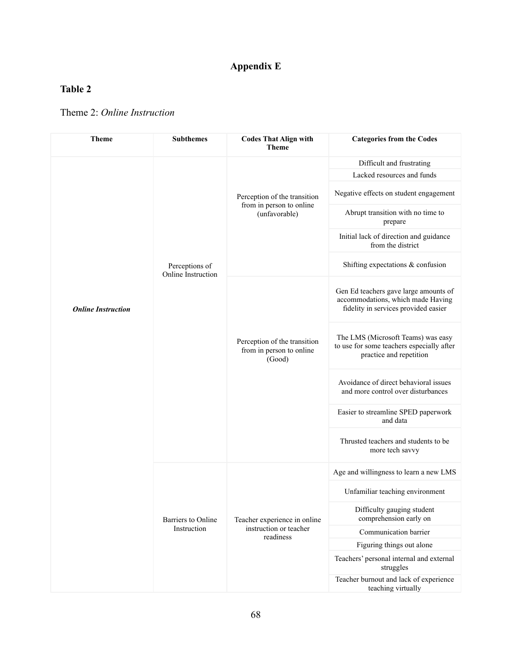# **Appendix E**

## **Table 2**

### Theme 2: *Online Instruction*

| <b>Theme</b>              | <b>Subthemes</b>                     | <b>Codes That Align with</b><br><b>Theme</b>                              | <b>Categories from the Codes</b>                                                                                   |
|---------------------------|--------------------------------------|---------------------------------------------------------------------------|--------------------------------------------------------------------------------------------------------------------|
|                           |                                      |                                                                           | Difficult and frustrating                                                                                          |
|                           |                                      |                                                                           | Lacked resources and funds                                                                                         |
|                           | Perceptions of<br>Online Instruction | Perception of the transition<br>from in person to online<br>(unfavorable) | Negative effects on student engagement                                                                             |
|                           |                                      |                                                                           | Abrupt transition with no time to<br>prepare                                                                       |
|                           |                                      |                                                                           | Initial lack of direction and guidance<br>from the district                                                        |
|                           |                                      |                                                                           | Shifting expectations $&$ confusion                                                                                |
| <b>Online Instruction</b> |                                      | Perception of the transition<br>from in person to online<br>(Good)        | Gen Ed teachers gave large amounts of<br>accommodations, which made Having<br>fidelity in services provided easier |
|                           |                                      |                                                                           | The LMS (Microsoft Teams) was easy<br>to use for some teachers especially after<br>practice and repetition         |
|                           |                                      |                                                                           | Avoidance of direct behavioral issues<br>and more control over disturbances                                        |
|                           |                                      |                                                                           | Easier to streamline SPED paperwork<br>and data                                                                    |
|                           |                                      |                                                                           | Thrusted teachers and students to be<br>more tech savvy                                                            |
|                           | Barriers to Online<br>Instruction    | Teacher experience in online<br>instruction or teacher<br>readiness       | Age and willingness to learn a new LMS                                                                             |
|                           |                                      |                                                                           | Unfamiliar teaching environment                                                                                    |
|                           |                                      |                                                                           | Difficulty gauging student<br>comprehension early on                                                               |
|                           |                                      |                                                                           | Communication barrier                                                                                              |
|                           |                                      |                                                                           | Figuring things out alone                                                                                          |
|                           |                                      |                                                                           | Teachers' personal internal and external<br>struggles                                                              |
|                           |                                      |                                                                           | Teacher burnout and lack of experience<br>teaching virtually                                                       |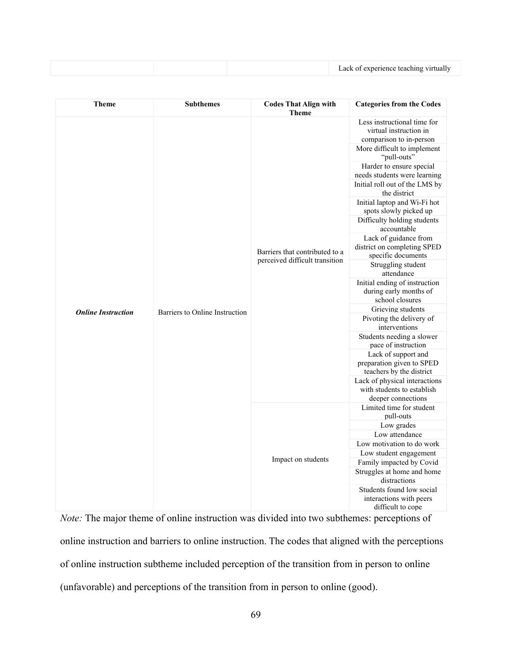|  | Lack of experience teaching virtually |
|--|---------------------------------------|
|--|---------------------------------------|

| <b>Theme</b>              | <b>Subthemes</b>               | <b>Codes That Align with</b><br><b>Theme</b>                     | <b>Categories from the Codes</b>                                                                                                                                                                                                                                                                                                                                                                                                                                                                                                                                                                                                                                                                                                                                                                                          |
|---------------------------|--------------------------------|------------------------------------------------------------------|---------------------------------------------------------------------------------------------------------------------------------------------------------------------------------------------------------------------------------------------------------------------------------------------------------------------------------------------------------------------------------------------------------------------------------------------------------------------------------------------------------------------------------------------------------------------------------------------------------------------------------------------------------------------------------------------------------------------------------------------------------------------------------------------------------------------------|
| <b>Online Instruction</b> | Barriers to Online Instruction | Barriers that contributed to a<br>perceived difficult transition | Less instructional time for<br>virtual instruction in<br>comparison to in-person<br>More difficult to implement<br>"pull-outs"<br>Harder to ensure special<br>needs students were learning<br>Initial roll out of the LMS by<br>the district<br>Initial laptop and Wi-Fi hot<br>spots slowly picked up<br>Difficulty holding students<br>accountable<br>Lack of guidance from<br>district on completing SPED<br>specific documents<br>Struggling student<br>attendance<br>Initial ending of instruction<br>during early months of<br>school closures<br>Grieving students<br>Pivoting the delivery of<br>interventions<br>Students needing a slower<br>pace of instruction<br>Lack of support and<br>preparation given to SPED<br>teachers by the district<br>Lack of physical interactions<br>with students to establish |
|                           |                                | Impact on students                                               | deeper connections<br>Limited time for student<br>pull-outs                                                                                                                                                                                                                                                                                                                                                                                                                                                                                                                                                                                                                                                                                                                                                               |
|                           |                                |                                                                  | Low grades                                                                                                                                                                                                                                                                                                                                                                                                                                                                                                                                                                                                                                                                                                                                                                                                                |
|                           |                                |                                                                  | Low attendance                                                                                                                                                                                                                                                                                                                                                                                                                                                                                                                                                                                                                                                                                                                                                                                                            |
|                           |                                |                                                                  | Low motivation to do work                                                                                                                                                                                                                                                                                                                                                                                                                                                                                                                                                                                                                                                                                                                                                                                                 |
|                           |                                |                                                                  | Low student engagement                                                                                                                                                                                                                                                                                                                                                                                                                                                                                                                                                                                                                                                                                                                                                                                                    |
|                           |                                |                                                                  | Family impacted by Covid                                                                                                                                                                                                                                                                                                                                                                                                                                                                                                                                                                                                                                                                                                                                                                                                  |
|                           |                                |                                                                  | Struggles at home and home<br>distractions                                                                                                                                                                                                                                                                                                                                                                                                                                                                                                                                                                                                                                                                                                                                                                                |
|                           |                                |                                                                  | Students found low social<br>interactions with peers<br>difficult to cope                                                                                                                                                                                                                                                                                                                                                                                                                                                                                                                                                                                                                                                                                                                                                 |

*Note:* The major theme of online instruction was divided into two subthemes: perceptions of online instruction and barriers to online instruction. The codes that aligned with the perceptions of online instruction subtheme included perception of the transition from in person to online (unfavorable) and perceptions of the transition from in person to online (good).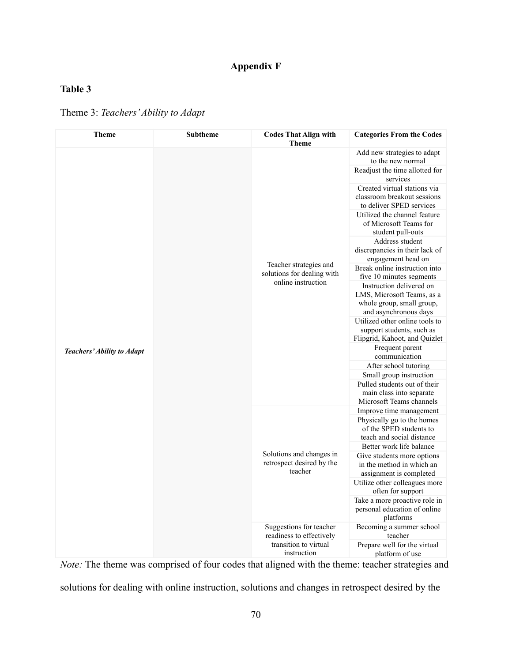## **Appendix F**

## **Table 3**

Theme 3: *Teachers'Ability to Adapt*

| <b>Theme</b>               | Subtheme | <b>Codes That Align with</b><br><b>Theme</b>                                                | <b>Categories From the Codes</b>                                                                             |
|----------------------------|----------|---------------------------------------------------------------------------------------------|--------------------------------------------------------------------------------------------------------------|
|                            |          | Teacher strategies and<br>solutions for dealing with<br>online instruction                  | Add new strategies to adapt<br>to the new normal                                                             |
|                            |          |                                                                                             | Readjust the time allotted for<br>services                                                                   |
|                            |          |                                                                                             | Created virtual stations via<br>classroom breakout sessions<br>to deliver SPED services                      |
|                            |          |                                                                                             | Utilized the channel feature<br>of Microsoft Teams for<br>student pull-outs                                  |
|                            |          |                                                                                             | Address student<br>discrepancies in their lack of<br>engagement head on                                      |
|                            |          |                                                                                             | Break online instruction into<br>five 10 minutes segments                                                    |
|                            |          |                                                                                             | Instruction delivered on<br>LMS, Microsoft Teams, as a<br>whole group, small group,<br>and asynchronous days |
|                            |          |                                                                                             | Utilized other online tools to<br>support students, such as<br>Flipgrid, Kahoot, and Quizlet                 |
| Teachers' Ability to Adapt |          |                                                                                             | Frequent parent<br>communication                                                                             |
|                            |          |                                                                                             | After school tutoring                                                                                        |
|                            |          |                                                                                             | Small group instruction                                                                                      |
|                            |          |                                                                                             | Pulled students out of their<br>main class into separate<br>Microsoft Teams channels                         |
|                            |          | Solutions and changes in<br>retrospect desired by the<br>teacher                            | Improve time management                                                                                      |
|                            |          |                                                                                             | Physically go to the homes<br>of the SPED students to<br>teach and social distance                           |
|                            |          |                                                                                             | Better work life balance                                                                                     |
|                            |          |                                                                                             | Give students more options<br>in the method in which an<br>assignment is completed                           |
|                            |          |                                                                                             | Utilize other colleagues more<br>often for support                                                           |
|                            |          |                                                                                             | Take a more proactive role in<br>personal education of online<br>platforms                                   |
|                            |          | Suggestions for teacher<br>readiness to effectively<br>transition to virtual<br>instruction | Becoming a summer school<br>teacher                                                                          |
|                            |          |                                                                                             | Prepare well for the virtual<br>platform of use                                                              |

*Note:* The theme was comprised of four codes that aligned with the theme: teacher strategies and solutions for dealing with online instruction, solutions and changes in retrospect desired by the